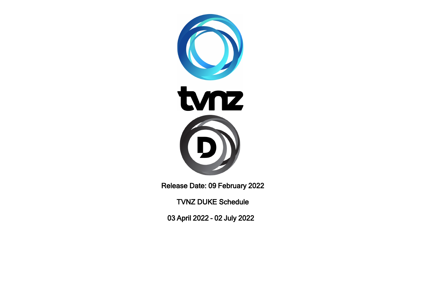

Release Date: 09 February 2022

TVNZ DUKE Schedule

03 April 2022 - 02 July 2022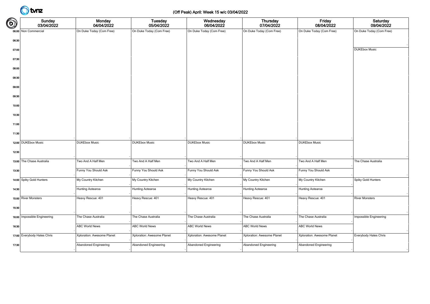### (Off Peak) April: Week 15 w/c 03/04/2022

| $\bigcirc$ | <b>Sunday</b><br>03/04/2022  | <b>Monday</b><br>04/04/2022 | Tuesday<br>05/04/2022      | Wednesday<br>06/04/2022    | <b>Thursday</b><br>07/04/2022 | Friday<br>08/04/2022       | Saturday<br>09/04/2022   |
|------------|------------------------------|-----------------------------|----------------------------|----------------------------|-------------------------------|----------------------------|--------------------------|
|            | 06:00 Non Commercial         | On Duke Today (Com Free)    | On Duke Today (Com Free)   | On Duke Today (Com Free)   | On Duke Today (Com Free)      | On Duke Today (Com Free)   | On Duke Today (Com Free) |
| 06:30      |                              |                             |                            |                            |                               |                            |                          |
| 07:00      |                              |                             |                            |                            |                               |                            | <b>DUKEbox Music</b>     |
| 07:30      |                              |                             |                            |                            |                               |                            |                          |
| 08:00      |                              |                             |                            |                            |                               |                            |                          |
| 08:30      |                              |                             |                            |                            |                               |                            |                          |
| 09:00      |                              |                             |                            |                            |                               |                            |                          |
| 09:30      |                              |                             |                            |                            |                               |                            |                          |
| 10:00      |                              |                             |                            |                            |                               |                            |                          |
| 10:30      |                              |                             |                            |                            |                               |                            |                          |
| 11:00      |                              |                             |                            |                            |                               |                            |                          |
| 11:30      |                              |                             |                            |                            |                               |                            |                          |
|            | 12:00 DUKEbox Music          | <b>DUKEbox Music</b>        | <b>DUKEbox Music</b>       | <b>DUKEbox Music</b>       | <b>DUKEbox Music</b>          | <b>DUKEbox Music</b>       |                          |
| 12:30      |                              |                             |                            |                            |                               |                            |                          |
|            | 13:00 The Chase Australia    | Two And A Half Men          | Two And A Half Men         | Two And A Half Men         | Two And A Half Men            | Two And A Half Men         | The Chase Australia      |
| 13:30      |                              | Funny You Should Ask        | Funny You Should Ask       | Funny You Should Ask       | Funny You Should Ask          | Funny You Should Ask       |                          |
|            | 14:00 Spiky Gold Hunters     | My Country Kitchen          | My Country Kitchen         | My Country Kitchen         | My Country Kitchen            | My Country Kitchen         | Spiky Gold Hunters       |
| 14:30      |                              | Hunting Aotearoa            | Hunting Aotearoa           | Hunting Aotearoa           | Hunting Aotearoa              | Hunting Aotearoa           |                          |
|            | 15:00 River Monsters         | Heavy Rescue: 401           | Heavy Rescue: 401          | Heavy Rescue: 401          | Heavy Rescue: 401             | Heavy Rescue: 401          | <b>River Monsters</b>    |
| 15:30      |                              |                             |                            |                            |                               |                            |                          |
|            | 16:00 Impossible Engineering | The Chase Australia         | The Chase Australia        | The Chase Australia        | The Chase Australia           | The Chase Australia        | Impossible Engineering   |
| 16:30      |                              | <b>ABC World News</b>       | <b>ABC World News</b>      | <b>ABC World News</b>      | <b>ABC World News</b>         | <b>ABC World News</b>      |                          |
|            | 17:00 Everybody Hates Chris  | Xploration: Awesome Planet  | Xploration: Awesome Planet | Xploration: Awesome Planet | Xploration: Awesome Planet    | Xploration: Awesome Planet | Everybody Hates Chris    |
|            |                              |                             |                            |                            |                               |                            |                          |
| 17:30      |                              | Abandoned Engineering       | Abandoned Engineering      | Abandoned Engineering      | Abandoned Engineering         | Abandoned Engineering      |                          |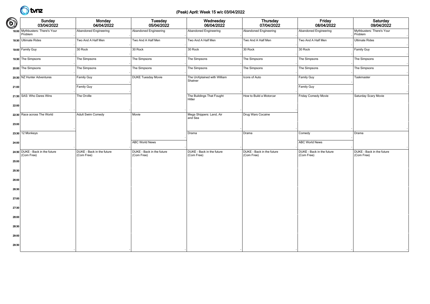### (Peak) April: Week 15 w/c 03/04/2022

| $\bigcirc$ | Sunday<br>03/04/2022                          | Monday<br>04/04/2022                    | Tuesday<br>05/04/2022                   | Wednesday<br>06/04/2022                 | Thursday<br>07/04/2022                  | Friday<br>08/04/2022                    | Saturday<br>09/04/2022                  |
|------------|-----------------------------------------------|-----------------------------------------|-----------------------------------------|-----------------------------------------|-----------------------------------------|-----------------------------------------|-----------------------------------------|
|            | 18:00 Mythbusters: There's Your<br>Problem    | Abandoned Engineering                   | Abandoned Engineering                   | Abandoned Engineering                   | <b>Abandoned Engineering</b>            | Abandoned Engineering                   | Mythbusters: There's Your<br>Problem    |
|            | 18:30 Ultimate Rides                          | Two And A Half Men                      | Two And A Half Men                      | Two And A Half Men                      | Two And A Half Men                      | Two And A Half Men                      | <b>Ultimate Rides</b>                   |
|            | 19:00 Family Guy                              | 30 Rock                                 | 30 Rock                                 | 30 Rock                                 | 30 Rock                                 | 30 Rock                                 | Family Guy                              |
|            | 19:30 The Simpsons                            | The Simpsons                            | The Simpsons                            | The Simpsons                            | The Simpsons                            | The Simpsons                            | The Simpsons                            |
|            | 20:00 The Simpsons                            | The Simpsons                            | The Simpsons                            | The Simpsons                            | The Simpsons                            | The Simpsons                            | The Simpsons                            |
|            | 20:30 NZ Hunter Adventures                    | Family Guy                              | <b>DUKE Tuesday Movie</b>               | The UnXplained with William<br>Shatner  | Icons of Auto                           | Family Guy                              | Taskmaster                              |
| 21:00      |                                               | Family Guy                              |                                         |                                         |                                         | Family Guy                              |                                         |
|            | 21:30 SAS: Who Dares Wins                     | The Orville                             |                                         | The Buildings That Fought<br>Hitler     | How to Build a Motorcar                 | Friday Comedy Movie                     | Saturday Scary Movie                    |
| 22:00      |                                               |                                         |                                         |                                         |                                         |                                         |                                         |
|            | 22:30 Race across The World                   | Adult Swim Comedy                       | Movie                                   | Mega Shippers: Land, Air<br>and Sea     | Drug Wars Cocaine                       |                                         |                                         |
| 23:00      |                                               |                                         |                                         |                                         |                                         |                                         |                                         |
|            | 23:30 12 Monkeys                              |                                         |                                         | Drama                                   | Drama                                   | Comedy                                  | Drama                                   |
| 24:00      |                                               |                                         | <b>ABC World News</b>                   |                                         |                                         | <b>ABC World News</b>                   |                                         |
|            | 24:30 DUKE - Back in the future<br>(Com Free) | DUKE - Back in the future<br>(Com Free) | DUKE - Back in the future<br>(Com Free) | DUKE - Back in the future<br>(Com Free) | DUKE - Back in the future<br>(Com Free) | DUKE - Back in the future<br>(Com Free) | DUKE - Back in the future<br>(Com Free) |
| 25:00      |                                               |                                         |                                         |                                         |                                         |                                         |                                         |
| 25:30      |                                               |                                         |                                         |                                         |                                         |                                         |                                         |
| 26:00      |                                               |                                         |                                         |                                         |                                         |                                         |                                         |
| 26:30      |                                               |                                         |                                         |                                         |                                         |                                         |                                         |
| 27:00      |                                               |                                         |                                         |                                         |                                         |                                         |                                         |
| 27:30      |                                               |                                         |                                         |                                         |                                         |                                         |                                         |
| 28:00      |                                               |                                         |                                         |                                         |                                         |                                         |                                         |
| 28:30      |                                               |                                         |                                         |                                         |                                         |                                         |                                         |
| 29:00      |                                               |                                         |                                         |                                         |                                         |                                         |                                         |
| 29:30      |                                               |                                         |                                         |                                         |                                         |                                         |                                         |
|            |                                               |                                         |                                         |                                         |                                         |                                         |                                         |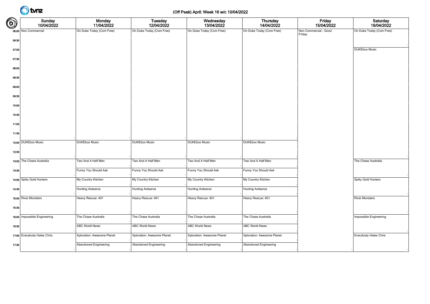### (Off Peak) April: Week 16 w/c 10/04/2022

| $\bigcirc$ | Sunday<br>10/04/2022         | Monday<br>11/04/2022       | <b>Tuesday</b><br>12/04/2022 | Wednesday<br>13/04/2022    | Thursday<br>14/04/2022     | Friday<br>15/04/2022            | Saturday<br>16/04/2022   |
|------------|------------------------------|----------------------------|------------------------------|----------------------------|----------------------------|---------------------------------|--------------------------|
|            | 06:00 Non Commercial         | On Duke Today (Com Free)   | On Duke Today (Com Free)     | On Duke Today (Com Free)   | On Duke Today (Com Free)   | Non Commercial - Good<br>Friday | On Duke Today (Com Free) |
| 06:30      |                              |                            |                              |                            |                            |                                 |                          |
| 07:00      |                              |                            |                              |                            |                            |                                 | <b>DUKEbox Music</b>     |
| 07:30      |                              |                            |                              |                            |                            |                                 |                          |
| 08:00      |                              |                            |                              |                            |                            |                                 |                          |
| 08:30      |                              |                            |                              |                            |                            |                                 |                          |
| 09:00      |                              |                            |                              |                            |                            |                                 |                          |
| 09:30      |                              |                            |                              |                            |                            |                                 |                          |
| 10:00      |                              |                            |                              |                            |                            |                                 |                          |
| 10:30      |                              |                            |                              |                            |                            |                                 |                          |
| 11:00      |                              |                            |                              |                            |                            |                                 |                          |
| 11:30      |                              |                            |                              |                            |                            |                                 |                          |
|            | 12:00 DUKEbox Music          | <b>DUKEbox Music</b>       | <b>DUKEbox Music</b>         | <b>DUKEbox Music</b>       | <b>DUKEbox Music</b>       |                                 |                          |
| 12:30      |                              |                            |                              |                            |                            |                                 |                          |
|            | 13:00 The Chase Australia    | Two And A Half Men         | Two And A Half Men           | Two And A Half Men         | Two And A Half Men         |                                 | The Chase Australia      |
| 13:30      |                              | Funny You Should Ask       | Funny You Should Ask         | Funny You Should Ask       | Funny You Should Ask       |                                 |                          |
|            | 14:00 Spiky Gold Hunters     | My Country Kitchen         | My Country Kitchen           | My Country Kitchen         | My Country Kitchen         |                                 | Spiky Gold Hunters       |
| 14:30      |                              | Hunting Aotearoa           | Hunting Aotearoa             | Hunting Aotearoa           | Hunting Aotearoa           |                                 |                          |
|            | 15:00 River Monsters         | Heavy Rescue: 401          | Heavy Rescue: 401            | Heavy Rescue: 401          | Heavy Rescue: 401          |                                 | <b>River Monsters</b>    |
| 15:30      |                              |                            |                              |                            |                            |                                 |                          |
|            |                              |                            |                              |                            |                            |                                 |                          |
|            | 16:00 Impossible Engineering | The Chase Australia        | The Chase Australia          | The Chase Australia        | The Chase Australia        |                                 | Impossible Engineering   |
| 16:30      |                              | <b>ABC World News</b>      | <b>ABC World News</b>        | <b>ABC World News</b>      | <b>ABC World News</b>      |                                 |                          |
|            | 17:00 Everybody Hates Chris  | Xploration: Awesome Planet | Xploration: Awesome Planet   | Xploration: Awesome Planet | Xploration: Awesome Planet |                                 | Everybody Hates Chris    |
| 17:30      |                              | Abandoned Engineering      | Abandoned Engineering        | Abandoned Engineering      | Abandoned Engineering      |                                 |                          |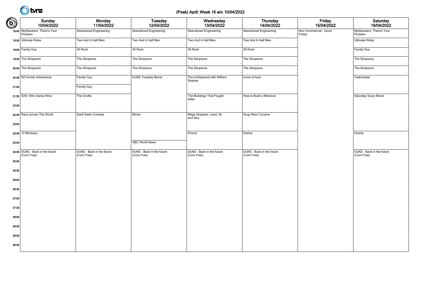### (Peak) April: Week 16 w/c 10/04/2022

| $\bigcirc$ | Sunday<br>10/04/2022                          | Monday<br>11/04/2022                    | Tuesday<br>12/04/2022                   | Wednesday<br>13/04/2022                 | <b>Thursday</b><br>14/04/2022           | Friday<br>15/04/2022            | Saturday<br>16/04/2022                  |
|------------|-----------------------------------------------|-----------------------------------------|-----------------------------------------|-----------------------------------------|-----------------------------------------|---------------------------------|-----------------------------------------|
|            | 18:00 Mythbusters: There's Your<br>Problem    | Abandoned Engineering                   | Abandoned Engineering                   | Abandoned Engineering                   | Abandoned Engineering                   | Non Commercial - Good<br>Friday | Mythbusters: There's Your<br>Problem    |
|            | 18:30 Ultimate Rides                          | Two And A Half Men                      | Two And A Half Men                      | Two And A Half Men                      | Two And A Half Men                      |                                 | <b>Ultimate Rides</b>                   |
|            | 19:00 Family Guy                              | 30 Rock                                 | 30 Rock                                 | 30 Rock                                 | 30 Rock                                 |                                 | Family Guy                              |
|            | 19:30 The Simpsons                            | The Simpsons                            | The Simpsons                            | The Simpsons                            | The Simpsons                            |                                 | The Simpsons                            |
|            | 20:00 The Simpsons                            | The Simpsons                            | The Simpsons                            | The Simpsons                            | The Simpsons                            |                                 | The Simpsons                            |
|            | 20:30 NZ Hunter Adventures                    | Family Guy                              | <b>DUKE Tuesday Movie</b>               | The UnXplained with William<br>Shatner  | Icons of Auto                           |                                 | Taskmaster                              |
| 21:00      |                                               | Family Guy                              |                                         |                                         |                                         |                                 |                                         |
|            | 21:30 SAS: Who Dares Wins                     | The Orville                             |                                         | The Buildings That Fought<br>Hitler     | How to Build a Motorcar                 |                                 | Saturday Scary Movie                    |
| 22:00      |                                               |                                         |                                         |                                         |                                         |                                 |                                         |
|            | 22:30 Race across The World                   | Adult Swim Comedy                       | Movie                                   | Mega Shippers: Land, Air<br>and Sea     | Drug Wars Cocaine                       |                                 |                                         |
| 23:00      |                                               |                                         |                                         |                                         |                                         |                                 |                                         |
|            | 23:30 12 Monkeys                              |                                         |                                         | Drama                                   | Drama                                   |                                 | Drama                                   |
| 24:00      |                                               |                                         | <b>ABC World News</b>                   |                                         |                                         |                                 |                                         |
|            | 24:30 DUKE - Back in the future<br>(Com Free) | DUKE - Back in the future<br>(Com Free) | DUKE - Back in the future<br>(Com Free) | DUKE - Back in the future<br>(Com Free) | DUKE - Back in the future<br>(Com Free) |                                 | DUKE - Back in the future<br>(Com Free) |
| 25:00      |                                               |                                         |                                         |                                         |                                         |                                 |                                         |
| 25:30      |                                               |                                         |                                         |                                         |                                         |                                 |                                         |
| 26:00      |                                               |                                         |                                         |                                         |                                         |                                 |                                         |
| 26:30      |                                               |                                         |                                         |                                         |                                         |                                 |                                         |
| 27:00      |                                               |                                         |                                         |                                         |                                         |                                 |                                         |
| 27:30      |                                               |                                         |                                         |                                         |                                         |                                 |                                         |
| 28:00      |                                               |                                         |                                         |                                         |                                         |                                 |                                         |
| 28:30      |                                               |                                         |                                         |                                         |                                         |                                 |                                         |
| 29:00      |                                               |                                         |                                         |                                         |                                         |                                 |                                         |
|            |                                               |                                         |                                         |                                         |                                         |                                 |                                         |
| 29:30      |                                               |                                         |                                         |                                         |                                         |                                 |                                         |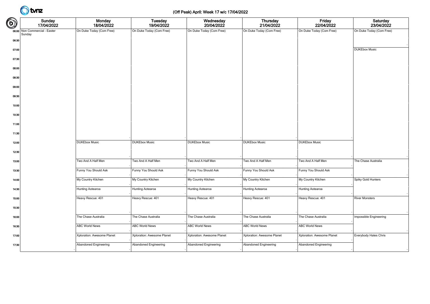### (Off Peak) April: Week 17 w/c 17/04/2022

| $\bigcirc$ | Sunday<br>17/04/2022                    | Monday<br>18/04/2022       | <b>Tuesday</b><br>19/04/2022 | Wednesday<br>20/04/2022    | <b>Thursday</b><br>21/04/2022 | Friday<br>22/04/2022       | Saturday<br>23/04/2022   |
|------------|-----------------------------------------|----------------------------|------------------------------|----------------------------|-------------------------------|----------------------------|--------------------------|
|            | 06:00 Non Commercial - Easter<br>Sunday | On Duke Today (Com Free)   | On Duke Today (Com Free)     | On Duke Today (Com Free)   | On Duke Today (Com Free)      | On Duke Today (Com Free)   | On Duke Today (Com Free) |
| 06:30      |                                         |                            |                              |                            |                               |                            |                          |
| 07:00      |                                         |                            |                              |                            |                               |                            | <b>DUKEbox Music</b>     |
| 07:30      |                                         |                            |                              |                            |                               |                            |                          |
| 08:00      |                                         |                            |                              |                            |                               |                            |                          |
| 08:30      |                                         |                            |                              |                            |                               |                            |                          |
| 09:00      |                                         |                            |                              |                            |                               |                            |                          |
| 09:30      |                                         |                            |                              |                            |                               |                            |                          |
| 10:00      |                                         |                            |                              |                            |                               |                            |                          |
| 10:30      |                                         |                            |                              |                            |                               |                            |                          |
| 11:00      |                                         |                            |                              |                            |                               |                            |                          |
| 11:30      |                                         |                            |                              |                            |                               |                            |                          |
| 12:00      |                                         | <b>DUKEbox Music</b>       | <b>DUKEbox Music</b>         | <b>DUKEbox Music</b>       | <b>DUKEbox Music</b>          | <b>DUKEbox Music</b>       |                          |
| 12:30      |                                         |                            |                              |                            |                               |                            |                          |
| 13:00      |                                         | Two And A Half Men         | Two And A Half Men           | Two And A Half Men         | Two And A Half Men            | Two And A Half Men         | The Chase Australia      |
| 13:30      |                                         | Funny You Should Ask       | Funny You Should Ask         | Funny You Should Ask       | Funny You Should Ask          | Funny You Should Ask       |                          |
| 14:00      |                                         | My Country Kitchen         | My Country Kitchen           | My Country Kitchen         | My Country Kitchen            | My Country Kitchen         | Spiky Gold Hunters       |
|            |                                         | Hunting Aotearoa           | Hunting Aotearoa             | Hunting Aotearoa           | Hunting Aotearoa              | Hunting Aotearoa           |                          |
| 14:30      |                                         |                            |                              |                            |                               |                            |                          |
| 15:00      |                                         | Heavy Rescue: 401          | Heavy Rescue: 401            | Heavy Rescue: 401          | Heavy Rescue: 401             | Heavy Rescue: 401          | <b>River Monsters</b>    |
| 15:30      |                                         |                            |                              |                            |                               |                            |                          |
| 16:00      |                                         | The Chase Australia        | The Chase Australia          | The Chase Australia        | The Chase Australia           | The Chase Australia        | Impossible Engineering   |
| 16:30      |                                         | <b>ABC World News</b>      | <b>ABC World News</b>        | <b>ABC World News</b>      | <b>ABC World News</b>         | <b>ABC World News</b>      |                          |
| 17:00      |                                         | Xploration: Awesome Planet | Xploration: Awesome Planet   | Xploration: Awesome Planet | Xploration: Awesome Planet    | Xploration: Awesome Planet | Everybody Hates Chris    |
| 17:30      |                                         | Abandoned Engineering      | Abandoned Engineering        | Abandoned Engineering      | Abandoned Engineering         | Abandoned Engineering      |                          |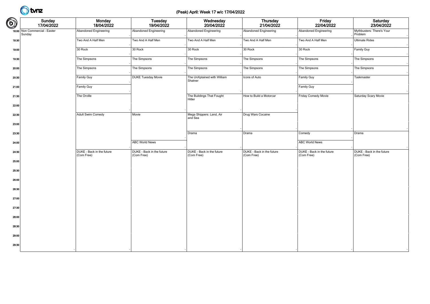### (Peak) April: Week 17 w/c 17/04/2022

| $\bigcirc$ | Sunday<br>17/04/2022                    | Monday<br>18/04/2022                    | <b>Tuesday</b><br>19/04/2022            | Wednesday<br>20/04/2022                 | Thursday<br>21/04/2022                  | Friday<br>22/04/2022                    | Saturday<br>23/04/2022                  |
|------------|-----------------------------------------|-----------------------------------------|-----------------------------------------|-----------------------------------------|-----------------------------------------|-----------------------------------------|-----------------------------------------|
|            | 18:00 Non Commercial - Easter<br>Sunday | Abandoned Engineering                   | Abandoned Engineering                   | <b>Abandoned Engineering</b>            | Abandoned Engineering                   | Abandoned Engineering                   | Mythbusters: There's Your<br>Problem    |
| 18:30      |                                         | Two And A Half Men                      | Two And A Half Men                      | Two And A Half Men                      | Two And A Half Men                      | Two And A Half Men                      | <b>Ultimate Rides</b>                   |
| 19:00      |                                         | 30 Rock                                 | 30 Rock                                 | 30 Rock                                 | 30 Rock                                 | 30 Rock                                 | Family Guy                              |
| 19:30      |                                         | The Simpsons                            | The Simpsons                            | The Simpsons                            | The Simpsons                            | The Simpsons                            | The Simpsons                            |
| 20:00      |                                         | The Simpsons                            | The Simpsons                            | The Simpsons                            | The Simpsons                            | The Simpsons                            | The Simpsons                            |
| 20:30      |                                         | Family Guy                              | <b>DUKE Tuesday Movie</b>               | The UnXplained with William<br>Shatner  | Icons of Auto                           | Family Guy                              | Taskmaster                              |
| 21:00      |                                         | Family Guy                              |                                         |                                         |                                         | Family Guy                              |                                         |
| 21:30      |                                         | The Orville                             |                                         | The Buildings That Fought<br>Hitler     | How to Build a Motorcar                 | Friday Comedy Movie                     | Saturday Scary Movie                    |
| 22:00      |                                         |                                         |                                         |                                         |                                         |                                         |                                         |
| 22:30      |                                         | Adult Swim Comedy                       | Movie                                   | Mega Shippers: Land, Air<br>and Sea     | Drug Wars Cocaine                       |                                         |                                         |
| 23:00      |                                         |                                         |                                         |                                         |                                         |                                         |                                         |
| 23:30      |                                         |                                         |                                         | Drama                                   | Drama                                   | Comedy                                  | Drama                                   |
| 24:00      |                                         |                                         | <b>ABC World News</b>                   |                                         |                                         | <b>ABC World News</b>                   |                                         |
| 24:30      |                                         | DUKE - Back in the future<br>(Com Free) | DUKE - Back in the future<br>(Com Free) | DUKE - Back in the future<br>(Com Free) | DUKE - Back in the future<br>(Com Free) | DUKE - Back in the future<br>(Com Free) | DUKE - Back in the future<br>(Com Free) |
| 25:00      |                                         |                                         |                                         |                                         |                                         |                                         |                                         |
| 25:30      |                                         |                                         |                                         |                                         |                                         |                                         |                                         |
| 26:00      |                                         |                                         |                                         |                                         |                                         |                                         |                                         |
| 26:30      |                                         |                                         |                                         |                                         |                                         |                                         |                                         |
| 27:00      |                                         |                                         |                                         |                                         |                                         |                                         |                                         |
| 27:30      |                                         |                                         |                                         |                                         |                                         |                                         |                                         |
| 28:00      |                                         |                                         |                                         |                                         |                                         |                                         |                                         |
| 28:30      |                                         |                                         |                                         |                                         |                                         |                                         |                                         |
| 29:00      |                                         |                                         |                                         |                                         |                                         |                                         |                                         |
| 29:30      |                                         |                                         |                                         |                                         |                                         |                                         |                                         |
|            |                                         |                                         |                                         |                                         |                                         |                                         |                                         |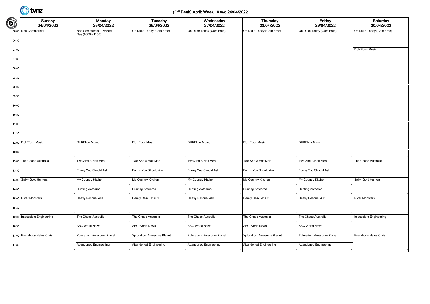### (Off Peak) April: Week 18 w/c 24/04/2022

| $\bigcirc$ | Sunday<br>24/04/2022         | Monday<br>25/04/2022                        | <b>Tuesday</b><br>26/04/2022 | Wednesday<br>27/04/2022    | <b>Thursday</b><br>28/04/2022 | Friday<br>29/04/2022       | Saturday<br>30/04/2022   |
|------------|------------------------------|---------------------------------------------|------------------------------|----------------------------|-------------------------------|----------------------------|--------------------------|
|            | 06:00 Non Commercial         | Non Commercial - Anzac<br>Day (0600 - 1159) | On Duke Today (Com Free)     | On Duke Today (Com Free)   | On Duke Today (Com Free)      | On Duke Today (Com Free)   | On Duke Today (Com Free) |
| 06:30      |                              |                                             |                              |                            |                               |                            |                          |
| 07:00      |                              |                                             |                              |                            |                               |                            | <b>DUKEbox Music</b>     |
| 07:30      |                              |                                             |                              |                            |                               |                            |                          |
| 08:00      |                              |                                             |                              |                            |                               |                            |                          |
| 08:30      |                              |                                             |                              |                            |                               |                            |                          |
| 09:00      |                              |                                             |                              |                            |                               |                            |                          |
| 09:30      |                              |                                             |                              |                            |                               |                            |                          |
| 10:00      |                              |                                             |                              |                            |                               |                            |                          |
| 10:30      |                              |                                             |                              |                            |                               |                            |                          |
| 11:00      |                              |                                             |                              |                            |                               |                            |                          |
| 11:30      |                              |                                             |                              |                            |                               |                            |                          |
|            | 12:00 DUKEbox Music          | <b>DUKEbox Music</b>                        | <b>DUKEbox Music</b>         | <b>DUKEbox Music</b>       | <b>DUKEbox Music</b>          | <b>DUKEbox Music</b>       |                          |
| 12:30      |                              |                                             |                              |                            |                               |                            |                          |
|            | 13:00 The Chase Australia    | Two And A Half Men                          | Two And A Half Men           | Two And A Half Men         | Two And A Half Men            | Two And A Half Men         | The Chase Australia      |
|            |                              |                                             |                              |                            |                               |                            |                          |
| 13:30      |                              | Funny You Should Ask                        | Funny You Should Ask         | Funny You Should Ask       | Funny You Should Ask          | Funny You Should Ask       |                          |
|            | 14:00 Spiky Gold Hunters     | My Country Kitchen                          | My Country Kitchen           | My Country Kitchen         | My Country Kitchen            | My Country Kitchen         | Spiky Gold Hunters       |
| 14:30      |                              | Hunting Aotearoa                            | Hunting Aotearoa             | Hunting Aotearoa           | Hunting Aotearoa              | Hunting Aotearoa           |                          |
|            | 15:00 River Monsters         | Heavy Rescue: 401                           | Heavy Rescue: 401            | Heavy Rescue: 401          | Heavy Rescue: 401             | Heavy Rescue: 401          | <b>River Monsters</b>    |
| 15:30      |                              |                                             |                              |                            |                               |                            |                          |
|            | 16:00 Impossible Engineering | The Chase Australia                         | The Chase Australia          | The Chase Australia        | The Chase Australia           | The Chase Australia        | Impossible Engineering   |
| 16:30      |                              | <b>ABC World News</b>                       | <b>ABC World News</b>        | <b>ABC World News</b>      | <b>ABC World News</b>         | <b>ABC World News</b>      |                          |
|            | 17:00 Everybody Hates Chris  | Xploration: Awesome Planet                  | Xploration: Awesome Planet   | Xploration: Awesome Planet | Xploration: Awesome Planet    | Xploration: Awesome Planet | Everybody Hates Chris    |
| 17:30      |                              | Abandoned Engineering                       | Abandoned Engineering        | Abandoned Engineering      | Abandoned Engineering         | Abandoned Engineering      |                          |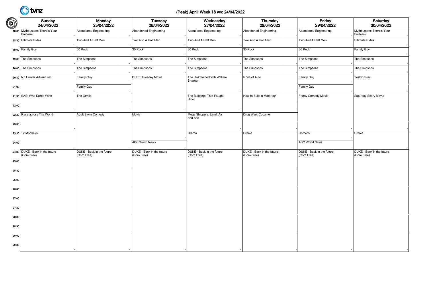### (Peak) April: Week 18 w/c 24/04/2022

| $\bigcirc$ | Sunday<br>24/04/2022                          | Monday<br>25/04/2022                    | Tuesday<br>26/04/2022                   | Wednesday<br>27/04/2022                 | <b>Thursday</b><br>28/04/2022           | Friday<br>29/04/2022                    | Saturday<br>30/04/2022                  |
|------------|-----------------------------------------------|-----------------------------------------|-----------------------------------------|-----------------------------------------|-----------------------------------------|-----------------------------------------|-----------------------------------------|
|            | 18:00 Mythbusters: There's Your<br>Problem    | Abandoned Engineering                   | Abandoned Engineering                   | Abandoned Engineering                   | <b>Abandoned Engineering</b>            | Abandoned Engineering                   | Mythbusters: There's Your<br>Problem    |
|            | 18:30 Ultimate Rides                          | Two And A Half Men                      | Two And A Half Men                      | Two And A Half Men                      | Two And A Half Men                      | Two And A Half Men                      | <b>Ultimate Rides</b>                   |
|            | 19:00 Family Guy                              | 30 Rock                                 | 30 Rock                                 | 30 Rock                                 | 30 Rock                                 | 30 Rock                                 | Family Guy                              |
|            | 19:30 The Simpsons                            | The Simpsons                            | The Simpsons                            | The Simpsons                            | The Simpsons                            | The Simpsons                            | The Simpsons                            |
|            | 20:00 The Simpsons                            | The Simpsons                            | The Simpsons                            | The Simpsons                            | The Simpsons                            | The Simpsons                            | The Simpsons                            |
|            | 20:30 NZ Hunter Adventures                    | Family Guy                              | <b>DUKE Tuesday Movie</b>               | The UnXplained with William<br>Shatner  | Icons of Auto                           | Family Guy                              | Taskmaster                              |
| 21:00      |                                               | Family Guy                              |                                         |                                         |                                         | Family Guy                              |                                         |
|            | 21:30 SAS: Who Dares Wins                     | The Orville                             |                                         | The Buildings That Fought<br>Hitler     | How to Build a Motorcar                 | Friday Comedy Movie                     | Saturday Scary Movie                    |
| 22:00      |                                               |                                         |                                         |                                         |                                         |                                         |                                         |
|            | 22:30 Race across The World                   | Adult Swim Comedy                       | Movie                                   | Mega Shippers: Land, Air<br>and Sea     | Drug Wars Cocaine                       |                                         |                                         |
| 23:00      |                                               |                                         |                                         |                                         |                                         |                                         |                                         |
|            | 23:30 12 Monkeys                              |                                         |                                         | Drama                                   | Drama                                   | Comedy                                  | Drama                                   |
| 24:00      |                                               |                                         | <b>ABC World News</b>                   |                                         |                                         | <b>ABC World News</b>                   |                                         |
|            | 24:30 DUKE - Back in the future<br>(Com Free) | DUKE - Back in the future<br>(Com Free) | DUKE - Back in the future<br>(Com Free) | DUKE - Back in the future<br>(Com Free) | DUKE - Back in the future<br>(Com Free) | DUKE - Back in the future<br>(Com Free) | DUKE - Back in the future<br>(Com Free) |
| 25:00      |                                               |                                         |                                         |                                         |                                         |                                         |                                         |
| 25:30      |                                               |                                         |                                         |                                         |                                         |                                         |                                         |
| 26:00      |                                               |                                         |                                         |                                         |                                         |                                         |                                         |
| 26:30      |                                               |                                         |                                         |                                         |                                         |                                         |                                         |
| 27:00      |                                               |                                         |                                         |                                         |                                         |                                         |                                         |
| 27:30      |                                               |                                         |                                         |                                         |                                         |                                         |                                         |
| 28:00      |                                               |                                         |                                         |                                         |                                         |                                         |                                         |
| 28:30      |                                               |                                         |                                         |                                         |                                         |                                         |                                         |
| 29:00      |                                               |                                         |                                         |                                         |                                         |                                         |                                         |
| 29:30      |                                               |                                         |                                         |                                         |                                         |                                         |                                         |
|            |                                               |                                         |                                         |                                         |                                         |                                         |                                         |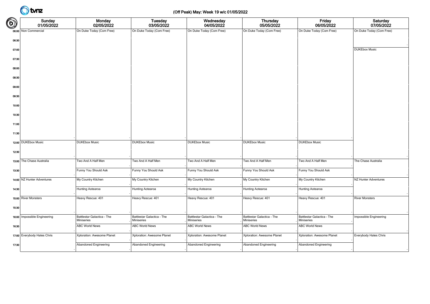### (Off Peak) May: Week 19 w/c 01/05/2022

| $\bigcirc$ | Sunday<br>01/05/2022         | <b>Monday</b><br>02/05/2022                     | <b>Tuesday</b><br>03/05/2022             | Wednesday<br>04/05/2022                  | <b>Thursday</b><br>05/05/2022            | Friday<br>06/05/2022                     | Saturday<br>07/05/2022   |
|------------|------------------------------|-------------------------------------------------|------------------------------------------|------------------------------------------|------------------------------------------|------------------------------------------|--------------------------|
|            | 06:00 Non Commercial         | On Duke Today (Com Free)                        | On Duke Today (Com Free)                 | On Duke Today (Com Free)                 | On Duke Today (Com Free)                 | On Duke Today (Com Free)                 | On Duke Today (Com Free) |
| 06:30      |                              |                                                 |                                          |                                          |                                          |                                          |                          |
| 07:00      |                              |                                                 |                                          |                                          |                                          |                                          | <b>DUKEbox Music</b>     |
| 07:30      |                              |                                                 |                                          |                                          |                                          |                                          |                          |
| 08:00      |                              |                                                 |                                          |                                          |                                          |                                          |                          |
| 08:30      |                              |                                                 |                                          |                                          |                                          |                                          |                          |
| 09:00      |                              |                                                 |                                          |                                          |                                          |                                          |                          |
| 09:30      |                              |                                                 |                                          |                                          |                                          |                                          |                          |
| 10:00      |                              |                                                 |                                          |                                          |                                          |                                          |                          |
| 10:30      |                              |                                                 |                                          |                                          |                                          |                                          |                          |
| 11:00      |                              |                                                 |                                          |                                          |                                          |                                          |                          |
| 11:30      |                              |                                                 |                                          |                                          |                                          |                                          |                          |
|            | 12:00 DUKEbox Music          | <b>DUKEbox Music</b>                            | <b>DUKEbox Music</b>                     | <b>DUKEbox Music</b>                     | <b>DUKEbox Music</b>                     | <b>DUKEbox Music</b>                     |                          |
| 12:30      |                              |                                                 |                                          |                                          |                                          |                                          |                          |
|            | 13:00 The Chase Australia    | Two And A Half Men                              | Two And A Half Men                       | Two And A Half Men                       | Two And A Half Men                       | Two And A Half Men                       | The Chase Australia      |
| 13:30      |                              | Funny You Should Ask                            | Funny You Should Ask                     | Funny You Should Ask                     | Funny You Should Ask                     | Funny You Should Ask                     |                          |
|            | 14:00 NZ Hunter Adventures   | My Country Kitchen                              | My Country Kitchen                       | My Country Kitchen                       | My Country Kitchen                       | My Country Kitchen                       | NZ Hunter Adventures     |
| 14:30      |                              | Hunting Aotearoa                                | Hunting Aotearoa                         | Hunting Aotearoa                         | <b>Hunting Aotearoa</b>                  | Hunting Aotearoa                         |                          |
|            | 15:00 River Monsters         | Heavy Rescue: 401                               | Heavy Rescue: 401                        | Heavy Rescue: 401                        | Heavy Rescue: 401                        | Heavy Rescue: 401                        | <b>River Monsters</b>    |
| 15:30      |                              |                                                 |                                          |                                          |                                          |                                          |                          |
|            | 16:00 Impossible Engineering | Battlestar Galactica - The<br><b>Miniseries</b> | Battlestar Galactica - The<br>Miniseries | Battlestar Galactica - The<br>Miniseries | Battlestar Galactica - The<br>Miniseries | Battlestar Galactica - The<br>Miniseries | Impossible Engineering   |
| 16:30      |                              | <b>ABC World News</b>                           | <b>ABC World News</b>                    | <b>ABC World News</b>                    | <b>ABC World News</b>                    | <b>ABC World News</b>                    |                          |
|            | 17:00 Everybody Hates Chris  | Xploration: Awesome Planet                      | Xploration: Awesome Planet               | Xploration: Awesome Planet               | Xploration: Awesome Planet               | Xploration: Awesome Planet               | Everybody Hates Chris    |
| 17:30      |                              | Abandoned Engineering                           | Abandoned Engineering                    | Abandoned Engineering                    | Abandoned Engineering                    | Abandoned Engineering                    |                          |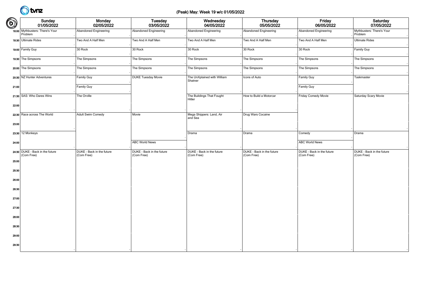### (Peak) May: Week 19 w/c 01/05/2022

| $\bigcirc$ | Sunday<br>01/05/2022                          | Monday<br>02/05/2022                    | Tuesday<br>03/05/2022                   | Wednesday<br>04/05/2022                 | Thursday<br>05/05/2022                  | Friday<br>06/05/2022                    | Saturday<br>07/05/2022                  |
|------------|-----------------------------------------------|-----------------------------------------|-----------------------------------------|-----------------------------------------|-----------------------------------------|-----------------------------------------|-----------------------------------------|
|            | 18:00 Mythbusters: There's Your<br>Problem    | Abandoned Engineering                   | Abandoned Engineering                   | Abandoned Engineering                   | Abandoned Engineering                   | Abandoned Engineering                   | Mythbusters: There's Your<br>Problem    |
|            | 18:30 Ultimate Rides                          | Two And A Half Men                      | Two And A Half Men                      | Two And A Half Men                      | Two And A Half Men                      | Two And A Half Men                      | <b>Ultimate Rides</b>                   |
|            | 19:00 Family Guy                              | 30 Rock                                 | 30 Rock                                 | 30 Rock                                 | 30 Rock                                 | 30 Rock                                 | Family Guy                              |
|            | 19:30 The Simpsons                            | The Simpsons                            | The Simpsons                            | The Simpsons                            | The Simpsons                            | The Simpsons                            | The Simpsons                            |
|            | 20:00 The Simpsons                            | The Simpsons                            | The Simpsons                            | The Simpsons                            | The Simpsons                            | The Simpsons                            | The Simpsons                            |
|            | 20:30 NZ Hunter Adventures                    | Family Guy                              | <b>DUKE Tuesday Movie</b>               | The UnXplained with William<br>Shatner  | Icons of Auto                           | Family Guy                              | Taskmaster                              |
| 21:00      |                                               | Family Guy                              |                                         |                                         |                                         | Family Guy                              |                                         |
|            | 21:30 SAS: Who Dares Wins                     | The Orville                             |                                         | The Buildings That Fought<br>Hitler     | How to Build a Motorcar                 | Friday Comedy Movie                     | Saturday Scary Movie                    |
| 22:00      |                                               |                                         |                                         |                                         |                                         |                                         |                                         |
|            | 22:30 Race across The World                   | Adult Swim Comedy                       | Movie                                   | Mega Shippers: Land, Air<br>and Sea     | Drug Wars Cocaine                       |                                         |                                         |
| 23:00      |                                               |                                         |                                         |                                         |                                         |                                         |                                         |
|            | 23:30 12 Monkeys                              |                                         |                                         | Drama                                   | Drama                                   | Comedy                                  | Drama                                   |
| 24:00      |                                               |                                         | <b>ABC World News</b>                   |                                         |                                         | <b>ABC World News</b>                   |                                         |
|            | 24:30 DUKE - Back in the future<br>(Com Free) | DUKE - Back in the future<br>(Com Free) | DUKE - Back in the future<br>(Com Free) | DUKE - Back in the future<br>(Com Free) | DUKE - Back in the future<br>(Com Free) | DUKE - Back in the future<br>(Com Free) | DUKE - Back in the future<br>(Com Free) |
| 25:00      |                                               |                                         |                                         |                                         |                                         |                                         |                                         |
| 25:30      |                                               |                                         |                                         |                                         |                                         |                                         |                                         |
| 26:00      |                                               |                                         |                                         |                                         |                                         |                                         |                                         |
| 26:30      |                                               |                                         |                                         |                                         |                                         |                                         |                                         |
| 27:00      |                                               |                                         |                                         |                                         |                                         |                                         |                                         |
| 27:30      |                                               |                                         |                                         |                                         |                                         |                                         |                                         |
| 28:00      |                                               |                                         |                                         |                                         |                                         |                                         |                                         |
| 28:30      |                                               |                                         |                                         |                                         |                                         |                                         |                                         |
| 29:00      |                                               |                                         |                                         |                                         |                                         |                                         |                                         |
| 29:30      |                                               |                                         |                                         |                                         |                                         |                                         |                                         |
|            |                                               |                                         |                                         |                                         |                                         |                                         |                                         |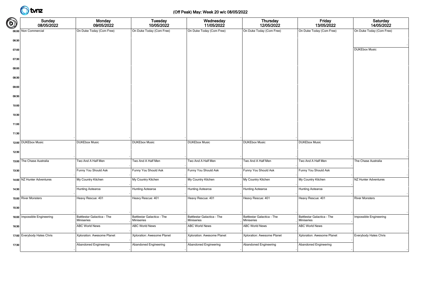### (Off Peak) May: Week 20 w/c 08/05/2022

| ඛ     | Sunday<br>08/05/2022         | <b>Monday</b><br>09/05/2022                     | <b>Tuesday</b><br>10/05/2022             | Wednesday<br>11/05/2022                  | <b>Thursday</b><br>12/05/2022            | Friday<br>13/05/2022                     | Saturday<br>14/05/2022   |
|-------|------------------------------|-------------------------------------------------|------------------------------------------|------------------------------------------|------------------------------------------|------------------------------------------|--------------------------|
|       | 06:00 Non Commercial         | On Duke Today (Com Free)                        | On Duke Today (Com Free)                 | On Duke Today (Com Free)                 | On Duke Today (Com Free)                 | On Duke Today (Com Free)                 | On Duke Today (Com Free) |
| 06:30 |                              |                                                 |                                          |                                          |                                          |                                          |                          |
| 07:00 |                              |                                                 |                                          |                                          |                                          |                                          | <b>DUKEbox Music</b>     |
| 07:30 |                              |                                                 |                                          |                                          |                                          |                                          |                          |
| 08:00 |                              |                                                 |                                          |                                          |                                          |                                          |                          |
| 08:30 |                              |                                                 |                                          |                                          |                                          |                                          |                          |
| 09:00 |                              |                                                 |                                          |                                          |                                          |                                          |                          |
| 09:30 |                              |                                                 |                                          |                                          |                                          |                                          |                          |
| 10:00 |                              |                                                 |                                          |                                          |                                          |                                          |                          |
| 10:30 |                              |                                                 |                                          |                                          |                                          |                                          |                          |
| 11:00 |                              |                                                 |                                          |                                          |                                          |                                          |                          |
| 11:30 |                              |                                                 |                                          |                                          |                                          |                                          |                          |
|       | 12:00 DUKEbox Music          | <b>DUKEbox Music</b>                            | <b>DUKEbox Music</b>                     | <b>DUKEbox Music</b>                     | <b>DUKEbox Music</b>                     | <b>DUKEbox Music</b>                     |                          |
| 12:30 |                              |                                                 |                                          |                                          |                                          |                                          |                          |
|       | 13:00 The Chase Australia    | Two And A Half Men                              | Two And A Half Men                       | Two And A Half Men                       | Two And A Half Men                       | Two And A Half Men                       | The Chase Australia      |
| 13:30 |                              | Funny You Should Ask                            | Funny You Should Ask                     | Funny You Should Ask                     | Funny You Should Ask                     | Funny You Should Ask                     |                          |
|       | 14:00 NZ Hunter Adventures   | My Country Kitchen                              | My Country Kitchen                       | My Country Kitchen                       | My Country Kitchen                       | My Country Kitchen                       | NZ Hunter Adventures     |
| 14:30 |                              | Hunting Aotearoa                                | Hunting Aotearoa                         | Hunting Aotearoa                         | Hunting Aotearoa                         | Hunting Aotearoa                         |                          |
|       | 15:00 River Monsters         | Heavy Rescue: 401                               | Heavy Rescue: 401                        | Heavy Rescue: 401                        | Heavy Rescue: 401                        | Heavy Rescue: 401                        | <b>River Monsters</b>    |
| 15:30 |                              |                                                 |                                          |                                          |                                          |                                          |                          |
|       |                              |                                                 |                                          |                                          |                                          |                                          |                          |
|       | 16:00 Impossible Engineering | Battlestar Galactica - The<br><b>Miniseries</b> | Battlestar Galactica - The<br>Miniseries | Battlestar Galactica - The<br>Miniseries | Battlestar Galactica - The<br>Miniseries | Battlestar Galactica - The<br>Miniseries | Impossible Engineering   |
| 16:30 |                              | <b>ABC World News</b>                           | <b>ABC World News</b>                    | <b>ABC World News</b>                    | <b>ABC World News</b>                    | <b>ABC World News</b>                    |                          |
|       | 17:00 Everybody Hates Chris  | Xploration: Awesome Planet                      | Xploration: Awesome Planet               | Xploration: Awesome Planet               | Xploration: Awesome Planet               | Xploration: Awesome Planet               | Everybody Hates Chris    |
| 17:30 |                              | Abandoned Engineering                           | Abandoned Engineering                    | Abandoned Engineering                    | Abandoned Engineering                    | Abandoned Engineering                    |                          |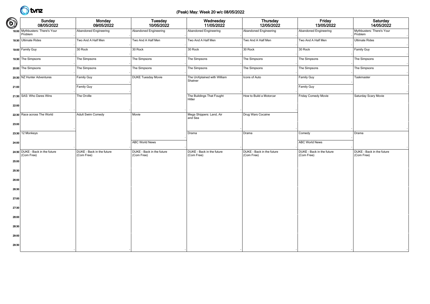### (Peak) May: Week 20 w/c 08/05/2022

| $\bigcirc$ | Sunday<br>08/05/2022                          | Monday<br>09/05/2022                    | <b>Tuesday</b><br>10/05/2022            | Wednesday<br>11/05/2022                 | Thursday<br>12/05/2022                  | Friday<br>13/05/2022                    | Saturday<br>14/05/2022                  |
|------------|-----------------------------------------------|-----------------------------------------|-----------------------------------------|-----------------------------------------|-----------------------------------------|-----------------------------------------|-----------------------------------------|
|            | 18:00 Mythbusters: There's Your<br>Problem    | Abandoned Engineering                   | Abandoned Engineering                   | Abandoned Engineering                   | Abandoned Engineering                   | Abandoned Engineering                   | Mythbusters: There's Your<br>Problem    |
|            | 18:30 Ultimate Rides                          | Two And A Half Men                      | Two And A Half Men                      | Two And A Half Men                      | Two And A Half Men                      | Two And A Half Men                      | <b>Ultimate Rides</b>                   |
|            | 19:00 Family Guy                              | 30 Rock                                 | 30 Rock                                 | 30 Rock                                 | 30 Rock                                 | 30 Rock                                 | Family Guy                              |
|            | 19:30 The Simpsons                            | The Simpsons                            | The Simpsons                            | The Simpsons                            | The Simpsons                            | The Simpsons                            | The Simpsons                            |
|            | 20:00 The Simpsons                            | The Simpsons                            | The Simpsons                            | The Simpsons                            | The Simpsons                            | The Simpsons                            | The Simpsons                            |
|            | 20:30 NZ Hunter Adventures                    | Family Guy                              | <b>DUKE Tuesday Movie</b>               | The UnXplained with William<br>Shatner  | Icons of Auto                           | Family Guy                              | Taskmaster                              |
| 21:00      |                                               | Family Guy                              |                                         |                                         |                                         | Family Guy                              |                                         |
|            | 21:30 SAS: Who Dares Wins                     | The Orville                             |                                         | The Buildings That Fought<br>Hitler     | How to Build a Motorcar                 | Friday Comedy Movie                     | Saturday Scary Movie                    |
| 22:00      |                                               |                                         |                                         |                                         |                                         |                                         |                                         |
|            | 22:30 Race across The World                   | Adult Swim Comedy                       | Movie                                   | Mega Shippers: Land, Air<br>and Sea     | Drug Wars Cocaine                       |                                         |                                         |
| 23:00      |                                               |                                         |                                         |                                         |                                         |                                         |                                         |
|            | 23:30 12 Monkeys                              |                                         |                                         | Drama                                   | Drama                                   | Comedy                                  | Drama                                   |
| 24:00      |                                               |                                         | <b>ABC World News</b>                   |                                         |                                         | <b>ABC World News</b>                   |                                         |
|            | 24:30 DUKE - Back in the future<br>(Com Free) | DUKE - Back in the future<br>(Com Free) | DUKE - Back in the future<br>(Com Free) | DUKE - Back in the future<br>(Com Free) | DUKE - Back in the future<br>(Com Free) | DUKE - Back in the future<br>(Com Free) | DUKE - Back in the future<br>(Com Free) |
| 25:00      |                                               |                                         |                                         |                                         |                                         |                                         |                                         |
| 25:30      |                                               |                                         |                                         |                                         |                                         |                                         |                                         |
| 26:00      |                                               |                                         |                                         |                                         |                                         |                                         |                                         |
| 26:30      |                                               |                                         |                                         |                                         |                                         |                                         |                                         |
| 27:00      |                                               |                                         |                                         |                                         |                                         |                                         |                                         |
| 27:30      |                                               |                                         |                                         |                                         |                                         |                                         |                                         |
| 28:00      |                                               |                                         |                                         |                                         |                                         |                                         |                                         |
| 28:30      |                                               |                                         |                                         |                                         |                                         |                                         |                                         |
| 29:00      |                                               |                                         |                                         |                                         |                                         |                                         |                                         |
| 29:30      |                                               |                                         |                                         |                                         |                                         |                                         |                                         |
|            |                                               |                                         |                                         |                                         |                                         |                                         |                                         |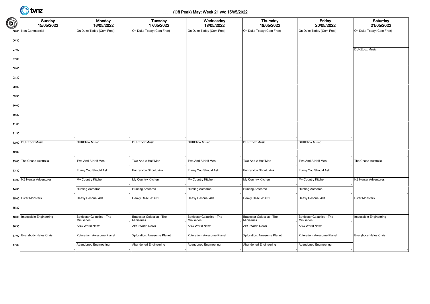### (Off Peak) May: Week 21 w/c 15/05/2022

| $\bigcirc$ | Sunday<br>15/05/2022         | Monday<br>16/05/2022                     | <b>Tuesday</b><br>17/05/2022             | Wednesday<br>18/05/2022                  | <b>Thursday</b><br>19/05/2022            | Friday<br>20/05/2022                     | Saturday<br>21/05/2022   |
|------------|------------------------------|------------------------------------------|------------------------------------------|------------------------------------------|------------------------------------------|------------------------------------------|--------------------------|
|            | 06:00 Non Commercial         | On Duke Today (Com Free)                 | On Duke Today (Com Free)                 | On Duke Today (Com Free)                 | On Duke Today (Com Free)                 | On Duke Today (Com Free)                 | On Duke Today (Com Free) |
| 06:30      |                              |                                          |                                          |                                          |                                          |                                          |                          |
| 07:00      |                              |                                          |                                          |                                          |                                          |                                          | <b>DUKEbox Music</b>     |
| 07:30      |                              |                                          |                                          |                                          |                                          |                                          |                          |
| 08:00      |                              |                                          |                                          |                                          |                                          |                                          |                          |
| 08:30      |                              |                                          |                                          |                                          |                                          |                                          |                          |
| 09:00      |                              |                                          |                                          |                                          |                                          |                                          |                          |
| 09:30      |                              |                                          |                                          |                                          |                                          |                                          |                          |
| 10:00      |                              |                                          |                                          |                                          |                                          |                                          |                          |
| 10:30      |                              |                                          |                                          |                                          |                                          |                                          |                          |
| 11:00      |                              |                                          |                                          |                                          |                                          |                                          |                          |
| 11:30      |                              |                                          |                                          |                                          |                                          |                                          |                          |
|            | 12:00 DUKEbox Music          | <b>DUKEbox Music</b>                     | <b>DUKEbox Music</b>                     | <b>DUKEbox Music</b>                     | <b>DUKEbox Music</b>                     | <b>DUKEbox Music</b>                     |                          |
| 12:30      |                              |                                          |                                          |                                          |                                          |                                          |                          |
|            | 13:00 The Chase Australia    | Two And A Half Men                       | Two And A Half Men                       | Two And A Half Men                       | Two And A Half Men                       | Two And A Half Men                       | The Chase Australia      |
| 13:30      |                              | Funny You Should Ask                     | Funny You Should Ask                     | Funny You Should Ask                     | Funny You Should Ask                     | Funny You Should Ask                     |                          |
|            | 14:00 NZ Hunter Adventures   | My Country Kitchen                       | My Country Kitchen                       | My Country Kitchen                       | My Country Kitchen                       | My Country Kitchen                       | NZ Hunter Adventures     |
| 14:30      |                              | Hunting Aotearoa                         | Hunting Aotearoa                         | Hunting Aotearoa                         | Hunting Aotearoa                         | Hunting Aotearoa                         |                          |
|            | 15:00 River Monsters         | Heavy Rescue: 401                        | Heavy Rescue: 401                        | Heavy Rescue: 401                        | Heavy Rescue: 401                        | Heavy Rescue: 401                        | <b>River Monsters</b>    |
| 15:30      |                              |                                          |                                          |                                          |                                          |                                          |                          |
|            | 16:00 Impossible Engineering | Battlestar Galactica - The<br>Miniseries | Battlestar Galactica - The<br>Miniseries | Battlestar Galactica - The<br>Miniseries | Battlestar Galactica - The<br>Miniseries | Battlestar Galactica - The<br>Miniseries | Impossible Engineering   |
| 16:30      |                              | <b>ABC World News</b>                    | <b>ABC World News</b>                    | <b>ABC World News</b>                    | <b>ABC World News</b>                    | <b>ABC World News</b>                    |                          |
|            | 17:00 Everybody Hates Chris  | Xploration: Awesome Planet               | Xploration: Awesome Planet               | Xploration: Awesome Planet               | Xploration: Awesome Planet               | Xploration: Awesome Planet               | Everybody Hates Chris    |
| 17:30      |                              | Abandoned Engineering                    | Abandoned Engineering                    | Abandoned Engineering                    | <b>Abandoned Engineering</b>             | Abandoned Engineering                    |                          |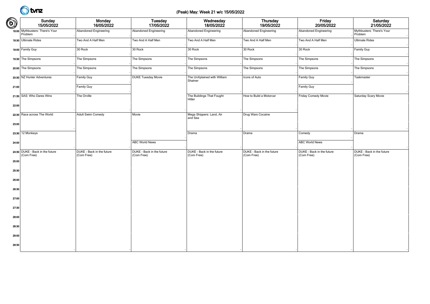### (Peak) May: Week 21 w/c 15/05/2022

| $\bigcirc$ | Sunday<br>15/05/2022                          | Monday<br>16/05/2022                    | Tuesday<br>17/05/2022                   | Wednesday<br>18/05/2022                 | Thursday<br>19/05/2022                  | Friday<br>20/05/2022                    | Saturday<br>21/05/2022                  |
|------------|-----------------------------------------------|-----------------------------------------|-----------------------------------------|-----------------------------------------|-----------------------------------------|-----------------------------------------|-----------------------------------------|
|            | 18:00 Mythbusters: There's Your<br>Problem    | Abandoned Engineering                   | Abandoned Engineering                   | Abandoned Engineering                   | Abandoned Engineering                   | Abandoned Engineering                   | Mythbusters: There's Your<br>Problem    |
|            | 18:30 Ultimate Rides                          | Two And A Half Men                      | Two And A Half Men                      | Two And A Half Men                      | Two And A Half Men                      | Two And A Half Men                      | <b>Ultimate Rides</b>                   |
|            | 19:00 Family Guy                              | 30 Rock                                 | 30 Rock                                 | 30 Rock                                 | 30 Rock                                 | 30 Rock                                 | Family Guy                              |
|            | 19:30 The Simpsons                            | The Simpsons                            | The Simpsons                            | The Simpsons                            | The Simpsons                            | The Simpsons                            | The Simpsons                            |
|            | 20:00 The Simpsons                            | The Simpsons                            | The Simpsons                            | The Simpsons                            | The Simpsons                            | The Simpsons                            | The Simpsons                            |
|            | 20:30 NZ Hunter Adventures                    | Family Guy                              | <b>DUKE Tuesday Movie</b>               | The UnXplained with William<br>Shatner  | Icons of Auto                           | Family Guy                              | Taskmaster                              |
| 21:00      |                                               | Family Guy                              |                                         |                                         |                                         | Family Guy                              |                                         |
|            | 21:30 SAS: Who Dares Wins                     | The Orville                             |                                         | The Buildings That Fought<br>Hitler     | How to Build a Motorcar                 | Friday Comedy Movie                     | Saturday Scary Movie                    |
| 22:00      |                                               |                                         |                                         |                                         |                                         |                                         |                                         |
|            | 22:30 Race across The World                   | Adult Swim Comedy                       | Movie                                   | Mega Shippers: Land, Air<br>and Sea     | Drug Wars Cocaine                       |                                         |                                         |
| 23:00      |                                               |                                         |                                         |                                         |                                         |                                         |                                         |
|            | 23:30 12 Monkeys                              |                                         |                                         | Drama                                   | Drama                                   | Comedy                                  | Drama                                   |
| 24:00      |                                               |                                         | <b>ABC World News</b>                   |                                         |                                         | <b>ABC World News</b>                   |                                         |
|            | 24:30 DUKE - Back in the future<br>(Com Free) | DUKE - Back in the future<br>(Com Free) | DUKE - Back in the future<br>(Com Free) | DUKE - Back in the future<br>(Com Free) | DUKE - Back in the future<br>(Com Free) | DUKE - Back in the future<br>(Com Free) | DUKE - Back in the future<br>(Com Free) |
| 25:00      |                                               |                                         |                                         |                                         |                                         |                                         |                                         |
| 25:30      |                                               |                                         |                                         |                                         |                                         |                                         |                                         |
| 26:00      |                                               |                                         |                                         |                                         |                                         |                                         |                                         |
| 26:30      |                                               |                                         |                                         |                                         |                                         |                                         |                                         |
| 27:00      |                                               |                                         |                                         |                                         |                                         |                                         |                                         |
| 27:30      |                                               |                                         |                                         |                                         |                                         |                                         |                                         |
| 28:00      |                                               |                                         |                                         |                                         |                                         |                                         |                                         |
| 28:30      |                                               |                                         |                                         |                                         |                                         |                                         |                                         |
| 29:00      |                                               |                                         |                                         |                                         |                                         |                                         |                                         |
| 29:30      |                                               |                                         |                                         |                                         |                                         |                                         |                                         |
|            |                                               |                                         |                                         |                                         |                                         |                                         |                                         |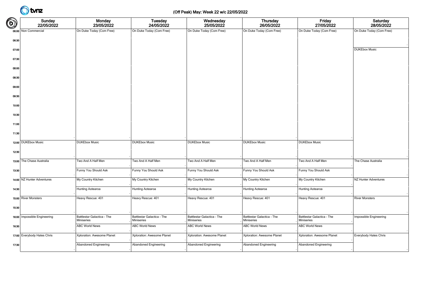### (Off Peak) May: Week 22 w/c 22/05/2022

| $\bigcirc$ | Sunday<br>22/05/2022         | Monday<br>23/05/2022                            | <b>Tuesday</b><br>24/05/2022             | Wednesday<br>25/05/2022                  | <b>Thursday</b><br>26/05/2022            | Friday<br>27/05/2022                            | Saturday<br>28/05/2022   |
|------------|------------------------------|-------------------------------------------------|------------------------------------------|------------------------------------------|------------------------------------------|-------------------------------------------------|--------------------------|
|            | 06:00 Non Commercial         | On Duke Today (Com Free)                        | On Duke Today (Com Free)                 | On Duke Today (Com Free)                 | On Duke Today (Com Free)                 | On Duke Today (Com Free)                        | On Duke Today (Com Free) |
| 06:30      |                              |                                                 |                                          |                                          |                                          |                                                 |                          |
| 07:00      |                              |                                                 |                                          |                                          |                                          |                                                 | <b>DUKEbox Music</b>     |
| 07:30      |                              |                                                 |                                          |                                          |                                          |                                                 |                          |
| 08:00      |                              |                                                 |                                          |                                          |                                          |                                                 |                          |
| 08:30      |                              |                                                 |                                          |                                          |                                          |                                                 |                          |
| 09:00      |                              |                                                 |                                          |                                          |                                          |                                                 |                          |
| 09:30      |                              |                                                 |                                          |                                          |                                          |                                                 |                          |
| 10:00      |                              |                                                 |                                          |                                          |                                          |                                                 |                          |
| 10:30      |                              |                                                 |                                          |                                          |                                          |                                                 |                          |
| 11:00      |                              |                                                 |                                          |                                          |                                          |                                                 |                          |
| 11:30      |                              |                                                 |                                          |                                          |                                          |                                                 |                          |
|            | 12:00 DUKEbox Music          | <b>DUKEbox Music</b>                            | <b>DUKEbox Music</b>                     | <b>DUKEbox Music</b>                     | <b>DUKEbox Music</b>                     | <b>DUKEbox Music</b>                            |                          |
| 12:30      |                              |                                                 |                                          |                                          |                                          |                                                 |                          |
|            | 13:00 The Chase Australia    | Two And A Half Men                              | Two And A Half Men                       | Two And A Half Men                       | Two And A Half Men                       | Two And A Half Men                              | The Chase Australia      |
| 13:30      |                              | Funny You Should Ask                            | Funny You Should Ask                     | Funny You Should Ask                     | Funny You Should Ask                     | Funny You Should Ask                            |                          |
|            | 14:00 NZ Hunter Adventures   | My Country Kitchen                              | My Country Kitchen                       | My Country Kitchen                       | My Country Kitchen                       | My Country Kitchen                              | NZ Hunter Adventures     |
| 14:30      |                              | Hunting Aotearoa                                | <b>Hunting Aotearoa</b>                  | Hunting Aotearoa                         | Hunting Aotearoa                         | Hunting Aotearoa                                |                          |
|            | 15:00 River Monsters         | Heavy Rescue: 401                               | Heavy Rescue: 401                        | Heavy Rescue: 401                        | Heavy Rescue: 401                        | Heavy Rescue: 401                               | <b>River Monsters</b>    |
| 15:30      |                              |                                                 |                                          |                                          |                                          |                                                 |                          |
|            | 16:00 Impossible Engineering | Battlestar Galactica - The<br><b>Miniseries</b> | Battlestar Galactica - The<br>Miniseries | Battlestar Galactica - The<br>Miniseries | Battlestar Galactica - The<br>Miniseries | Battlestar Galactica - The<br><b>Miniseries</b> | Impossible Engineering   |
| 16:30      |                              | <b>ABC World News</b>                           | <b>ABC World News</b>                    | <b>ABC World News</b>                    | <b>ABC World News</b>                    | <b>ABC World News</b>                           |                          |
|            | 17:00 Everybody Hates Chris  | Xploration: Awesome Planet                      | Xploration: Awesome Planet               | Xploration: Awesome Planet               | Xploration: Awesome Planet               | Xploration: Awesome Planet                      | Everybody Hates Chris    |
| 17:30      |                              | Abandoned Engineering                           | Abandoned Engineering                    | Abandoned Engineering                    | Abandoned Engineering                    | Abandoned Engineering                           |                          |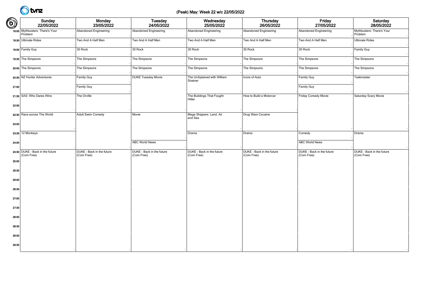### (Peak) May: Week 22 w/c 22/05/2022

| $\bigcirc$ | Sunday<br>22/05/2022                          | Monday<br>23/05/2022                    | Tuesday<br>24/05/2022                   | Wednesday<br>25/05/2022                 | Thursday<br>26/05/2022                  | Friday<br>27/05/2022                    | Saturday<br>28/05/2022                  |
|------------|-----------------------------------------------|-----------------------------------------|-----------------------------------------|-----------------------------------------|-----------------------------------------|-----------------------------------------|-----------------------------------------|
|            | 18:00 Mythbusters: There's Your<br>Problem    | Abandoned Engineering                   | Abandoned Engineering                   | Abandoned Engineering                   | Abandoned Engineering                   | Abandoned Engineering                   | Mythbusters: There's Your<br>Problem    |
|            | 18:30 Ultimate Rides                          | Two And A Half Men                      | Two And A Half Men                      | Two And A Half Men                      | Two And A Half Men                      | Two And A Half Men                      | <b>Ultimate Rides</b>                   |
|            | 19:00 Family Guy                              | 30 Rock                                 | 30 Rock                                 | 30 Rock                                 | 30 Rock                                 | 30 Rock                                 | Family Guy                              |
|            | 19:30 The Simpsons                            | The Simpsons                            | The Simpsons                            | The Simpsons                            | The Simpsons                            | The Simpsons                            | The Simpsons                            |
|            | 20:00 The Simpsons                            | The Simpsons                            | The Simpsons                            | The Simpsons                            | The Simpsons                            | The Simpsons                            | The Simpsons                            |
|            | 20:30 NZ Hunter Adventures                    | Family Guy                              | <b>DUKE Tuesday Movie</b>               | The UnXplained with William<br>Shatner  | Icons of Auto                           | Family Guy                              | Taskmaster                              |
| 21:00      |                                               | Family Guy                              |                                         |                                         |                                         | Family Guy                              |                                         |
|            | 21:30 SAS: Who Dares Wins                     | The Orville                             |                                         | The Buildings That Fought<br>Hitler     | How to Build a Motorcar                 | Friday Comedy Movie                     | Saturday Scary Movie                    |
| 22:00      |                                               |                                         |                                         |                                         |                                         |                                         |                                         |
|            | 22:30 Race across The World                   | Adult Swim Comedy                       | Movie                                   | Mega Shippers: Land, Air<br>and Sea     | Drug Wars Cocaine                       |                                         |                                         |
| 23:00      |                                               |                                         |                                         |                                         |                                         |                                         |                                         |
|            | 23:30 12 Monkeys                              |                                         |                                         | Drama                                   | Drama                                   | Comedy                                  | Drama                                   |
| 24:00      |                                               |                                         | <b>ABC World News</b>                   |                                         |                                         | <b>ABC World News</b>                   |                                         |
|            | 24:30 DUKE - Back in the future<br>(Com Free) | DUKE - Back in the future<br>(Com Free) | DUKE - Back in the future<br>(Com Free) | DUKE - Back in the future<br>(Com Free) | DUKE - Back in the future<br>(Com Free) | DUKE - Back in the future<br>(Com Free) | DUKE - Back in the future<br>(Com Free) |
| 25:00      |                                               |                                         |                                         |                                         |                                         |                                         |                                         |
| 25:30      |                                               |                                         |                                         |                                         |                                         |                                         |                                         |
| 26:00      |                                               |                                         |                                         |                                         |                                         |                                         |                                         |
| 26:30      |                                               |                                         |                                         |                                         |                                         |                                         |                                         |
| 27:00      |                                               |                                         |                                         |                                         |                                         |                                         |                                         |
| 27:30      |                                               |                                         |                                         |                                         |                                         |                                         |                                         |
| 28:00      |                                               |                                         |                                         |                                         |                                         |                                         |                                         |
| 28:30      |                                               |                                         |                                         |                                         |                                         |                                         |                                         |
| 29:00      |                                               |                                         |                                         |                                         |                                         |                                         |                                         |
| 29:30      |                                               |                                         |                                         |                                         |                                         |                                         |                                         |
|            |                                               |                                         |                                         |                                         |                                         |                                         |                                         |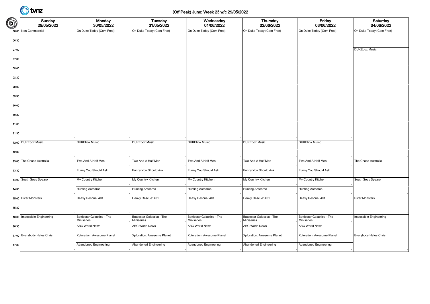### (Off Peak) June: Week 23 w/c 29/05/2022

| $\bigcirc$ | Sunday<br>29/05/2022         | Monday<br>30/05/2022                     | <b>Tuesday</b><br>31/05/2022             | Wednesday<br>01/06/2022                  | <b>Thursday</b><br>02/06/2022            | Friday<br>03/06/2022                     | Saturday<br>04/06/2022   |
|------------|------------------------------|------------------------------------------|------------------------------------------|------------------------------------------|------------------------------------------|------------------------------------------|--------------------------|
|            | 06:00 Non Commercial         | On Duke Today (Com Free)                 | On Duke Today (Com Free)                 | On Duke Today (Com Free)                 | On Duke Today (Com Free)                 | On Duke Today (Com Free)                 | On Duke Today (Com Free) |
| 06:30      |                              |                                          |                                          |                                          |                                          |                                          |                          |
| 07:00      |                              |                                          |                                          |                                          |                                          |                                          | <b>DUKEbox Music</b>     |
| 07:30      |                              |                                          |                                          |                                          |                                          |                                          |                          |
| 08:00      |                              |                                          |                                          |                                          |                                          |                                          |                          |
| 08:30      |                              |                                          |                                          |                                          |                                          |                                          |                          |
| 09:00      |                              |                                          |                                          |                                          |                                          |                                          |                          |
| 09:30      |                              |                                          |                                          |                                          |                                          |                                          |                          |
| 10:00      |                              |                                          |                                          |                                          |                                          |                                          |                          |
| 10:30      |                              |                                          |                                          |                                          |                                          |                                          |                          |
| 11:00      |                              |                                          |                                          |                                          |                                          |                                          |                          |
| 11:30      |                              |                                          |                                          |                                          |                                          |                                          |                          |
|            | 12:00 DUKEbox Music          | <b>DUKEbox Music</b>                     | <b>DUKEbox Music</b>                     | <b>DUKEbox Music</b>                     | <b>DUKEbox Music</b>                     | <b>DUKEbox Music</b>                     |                          |
| 12:30      |                              |                                          |                                          |                                          |                                          |                                          |                          |
|            | 13:00 The Chase Australia    | Two And A Half Men                       | Two And A Half Men                       | Two And A Half Men                       | Two And A Half Men                       | Two And A Half Men                       | The Chase Australia      |
| 13:30      |                              | Funny You Should Ask                     | Funny You Should Ask                     | Funny You Should Ask                     | Funny You Should Ask                     | Funny You Should Ask                     |                          |
|            | 14:00 South Seas Spearo      | My Country Kitchen                       | My Country Kitchen                       | My Country Kitchen                       | My Country Kitchen                       | My Country Kitchen                       | South Seas Spearo        |
| 14:30      |                              | Hunting Aotearoa                         | Hunting Aotearoa                         | Hunting Aotearoa                         | Hunting Aotearoa                         | Hunting Aotearoa                         |                          |
|            | 15:00 River Monsters         | Heavy Rescue: 401                        | Heavy Rescue: 401                        | Heavy Rescue: 401                        | Heavy Rescue: 401                        | Heavy Rescue: 401                        | <b>River Monsters</b>    |
| 15:30      |                              |                                          |                                          |                                          |                                          |                                          |                          |
|            | 16:00 Impossible Engineering | Battlestar Galactica - The<br>Miniseries | Battlestar Galactica - The<br>Miniseries | Battlestar Galactica - The<br>Miniseries | Battlestar Galactica - The<br>Miniseries | Battlestar Galactica - The<br>Miniseries | Impossible Engineering   |
| 16:30      |                              | <b>ABC World News</b>                    | <b>ABC World News</b>                    | <b>ABC World News</b>                    | <b>ABC World News</b>                    | <b>ABC World News</b>                    |                          |
|            | 17:00 Everybody Hates Chris  | Xploration: Awesome Planet               | Xploration: Awesome Planet               | Xploration: Awesome Planet               | Xploration: Awesome Planet               | Xploration: Awesome Planet               | Everybody Hates Chris    |
| 17:30      |                              | Abandoned Engineering                    | <b>Abandoned Engineering</b>             | Abandoned Engineering                    | Abandoned Engineering                    | Abandoned Engineering                    |                          |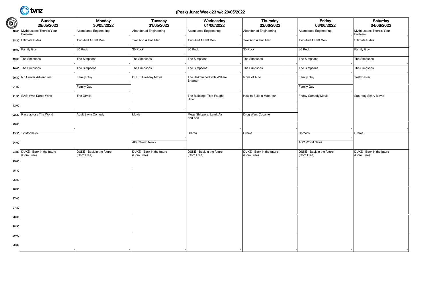### (Peak) June: Week 23 w/c 29/05/2022

| $\bigcirc$ | Sunday<br>29/05/2022                          | <b>Monday</b><br>30/05/2022             | <b>Tuesday</b><br>31/05/2022            | Wednesday<br>01/06/2022                 | Thursday<br>02/06/2022                  | Friday<br>03/06/2022                    | Saturday<br>04/06/2022                  |
|------------|-----------------------------------------------|-----------------------------------------|-----------------------------------------|-----------------------------------------|-----------------------------------------|-----------------------------------------|-----------------------------------------|
|            | 18:00 Mythbusters: There's Your<br>Problem    | Abandoned Engineering                   | Abandoned Engineering                   | Abandoned Engineering                   | <b>Abandoned Engineering</b>            | Abandoned Engineering                   | Mythbusters: There's Your<br>Problem    |
|            | 18:30 Ultimate Rides                          | Two And A Half Men                      | Two And A Half Men                      | Two And A Half Men                      | Two And A Half Men                      | Two And A Half Men                      | <b>Ultimate Rides</b>                   |
|            | 19:00 Family Guy                              | 30 Rock                                 | 30 Rock                                 | 30 Rock                                 | 30 Rock                                 | 30 Rock                                 | Family Guy                              |
|            | 19:30 The Simpsons                            | The Simpsons                            | The Simpsons                            | The Simpsons                            | The Simpsons                            | The Simpsons                            | The Simpsons                            |
|            | 20:00 The Simpsons                            | The Simpsons                            | The Simpsons                            | The Simpsons                            | The Simpsons                            | The Simpsons                            | The Simpsons                            |
|            | 20:30 NZ Hunter Adventures                    | Family Guy                              | <b>DUKE Tuesday Movie</b>               | The UnXplained with William<br>Shatner  | Icons of Auto                           | Family Guy                              | Taskmaster                              |
| 21:00      |                                               | Family Guy                              |                                         |                                         |                                         | Family Guy                              |                                         |
|            | 21:30 SAS: Who Dares Wins                     | The Orville                             |                                         | The Buildings That Fought<br>Hitler     | How to Build a Motorcar                 | Friday Comedy Movie                     | Saturday Scary Movie                    |
| 22:00      |                                               |                                         |                                         |                                         |                                         |                                         |                                         |
|            | 22:30 Race across The World                   | Adult Swim Comedy                       | Movie                                   | Mega Shippers: Land, Air<br>and Sea     | Drug Wars Cocaine                       |                                         |                                         |
| 23:00      |                                               |                                         |                                         |                                         |                                         |                                         |                                         |
|            | 23:30 12 Monkeys                              |                                         |                                         | Drama                                   | Drama                                   | Comedy                                  | Drama                                   |
| 24:00      |                                               |                                         | <b>ABC World News</b>                   |                                         |                                         | <b>ABC World News</b>                   |                                         |
|            | 24:30 DUKE - Back in the future<br>(Com Free) | DUKE - Back in the future<br>(Com Free) | DUKE - Back in the future<br>(Com Free) | DUKE - Back in the future<br>(Com Free) | DUKE - Back in the future<br>(Com Free) | DUKE - Back in the future<br>(Com Free) | DUKE - Back in the future<br>(Com Free) |
| 25:00      |                                               |                                         |                                         |                                         |                                         |                                         |                                         |
| 25:30      |                                               |                                         |                                         |                                         |                                         |                                         |                                         |
| 26:00      |                                               |                                         |                                         |                                         |                                         |                                         |                                         |
| 26:30      |                                               |                                         |                                         |                                         |                                         |                                         |                                         |
| 27:00      |                                               |                                         |                                         |                                         |                                         |                                         |                                         |
| 27:30      |                                               |                                         |                                         |                                         |                                         |                                         |                                         |
| 28:00      |                                               |                                         |                                         |                                         |                                         |                                         |                                         |
| 28:30      |                                               |                                         |                                         |                                         |                                         |                                         |                                         |
| 29:00      |                                               |                                         |                                         |                                         |                                         |                                         |                                         |
| 29:30      |                                               |                                         |                                         |                                         |                                         |                                         |                                         |
|            |                                               |                                         |                                         |                                         |                                         |                                         |                                         |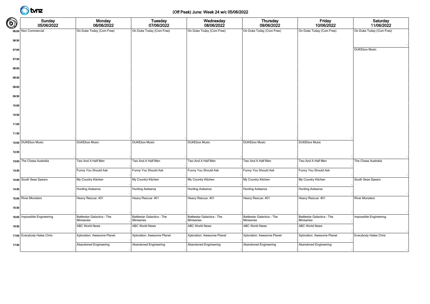### (Off Peak) June: Week 24 w/c 05/06/2022

| $\bigcirc$ | Sunday<br>05/06/2022         | Monday<br>06/06/2022                     | <b>Tuesday</b><br>07/06/2022             | Wednesday<br>08/06/2022                  | <b>Thursday</b><br>09/06/2022            | Friday<br>10/06/2022                     | Saturday<br>11/06/2022   |
|------------|------------------------------|------------------------------------------|------------------------------------------|------------------------------------------|------------------------------------------|------------------------------------------|--------------------------|
|            | 06:00 Non Commercial         | On Duke Today (Com Free)                 | On Duke Today (Com Free)                 | On Duke Today (Com Free)                 | On Duke Today (Com Free)                 | On Duke Today (Com Free)                 | On Duke Today (Com Free) |
| 06:30      |                              |                                          |                                          |                                          |                                          |                                          |                          |
| 07:00      |                              |                                          |                                          |                                          |                                          |                                          | <b>DUKEbox Music</b>     |
| 07:30      |                              |                                          |                                          |                                          |                                          |                                          |                          |
| 08:00      |                              |                                          |                                          |                                          |                                          |                                          |                          |
| 08:30      |                              |                                          |                                          |                                          |                                          |                                          |                          |
| 09:00      |                              |                                          |                                          |                                          |                                          |                                          |                          |
| 09:30      |                              |                                          |                                          |                                          |                                          |                                          |                          |
| 10:00      |                              |                                          |                                          |                                          |                                          |                                          |                          |
| 10:30      |                              |                                          |                                          |                                          |                                          |                                          |                          |
|            |                              |                                          |                                          |                                          |                                          |                                          |                          |
| 11:00      |                              |                                          |                                          |                                          |                                          |                                          |                          |
| 11:30      |                              |                                          |                                          |                                          |                                          |                                          |                          |
|            | 12:00 DUKEbox Music          | <b>DUKEbox Music</b>                     | <b>DUKEbox Music</b>                     | <b>DUKEbox Music</b>                     | <b>DUKEbox Music</b>                     | <b>DUKEbox Music</b>                     |                          |
| 12:30      |                              |                                          |                                          |                                          |                                          |                                          |                          |
|            | 13:00 The Chase Australia    | Two And A Half Men                       | Two And A Half Men                       | Two And A Half Men                       | Two And A Half Men                       | Two And A Half Men                       | The Chase Australia      |
| 13:30      |                              | Funny You Should Ask                     | Funny You Should Ask                     | Funny You Should Ask                     | Funny You Should Ask                     | Funny You Should Ask                     |                          |
|            | 14:00 South Seas Spearo      | My Country Kitchen                       | My Country Kitchen                       | My Country Kitchen                       | My Country Kitchen                       | My Country Kitchen                       | South Seas Spearo        |
| 14:30      |                              | Hunting Aotearoa                         | Hunting Aotearoa                         | Hunting Aotearoa                         | Hunting Aotearoa                         | Hunting Aotearoa                         |                          |
|            | 15:00 River Monsters         | Heavy Rescue: 401                        | Heavy Rescue: 401                        | Heavy Rescue: 401                        | Heavy Rescue: 401                        | Heavy Rescue: 401                        | <b>River Monsters</b>    |
| 15:30      |                              |                                          |                                          |                                          |                                          |                                          |                          |
|            | 16:00 Impossible Engineering | Battlestar Galactica - The<br>Miniseries | Battlestar Galactica - The<br>Miniseries | Battlestar Galactica - The<br>Miniseries | Battlestar Galactica - The<br>Miniseries | Battlestar Galactica - The<br>Miniseries | Impossible Engineering   |
| 16:30      |                              | <b>ABC World News</b>                    | <b>ABC World News</b>                    | <b>ABC World News</b>                    | <b>ABC World News</b>                    | <b>ABC World News</b>                    |                          |
|            | 17:00 Everybody Hates Chris  | Xploration: Awesome Planet               | Xploration: Awesome Planet               | Xploration: Awesome Planet               | Xploration: Awesome Planet               | Xploration: Awesome Planet               | Everybody Hates Chris    |
| 17:30      |                              | Abandoned Engineering                    | <b>Abandoned Engineering</b>             | Abandoned Engineering                    | Abandoned Engineering                    | Abandoned Engineering                    |                          |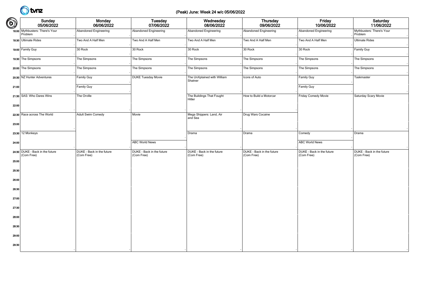### (Peak) June: Week 24 w/c 05/06/2022

| $\bigcirc$ | Sunday<br>05/06/2022                          | <b>Monday</b><br>06/06/2022             | <b>Tuesday</b><br>07/06/2022            | Wednesday<br>08/06/2022                 | Thursday<br>09/06/2022                  | Friday<br>10/06/2022                    | Saturday<br>11/06/2022                  |
|------------|-----------------------------------------------|-----------------------------------------|-----------------------------------------|-----------------------------------------|-----------------------------------------|-----------------------------------------|-----------------------------------------|
|            | 18:00 Mythbusters: There's Your<br>Problem    | Abandoned Engineering                   | Abandoned Engineering                   | Abandoned Engineering                   | <b>Abandoned Engineering</b>            | Abandoned Engineering                   | Mythbusters: There's Your<br>Problem    |
|            | 18:30 Ultimate Rides                          | Two And A Half Men                      | Two And A Half Men                      | Two And A Half Men                      | Two And A Half Men                      | Two And A Half Men                      | <b>Ultimate Rides</b>                   |
|            | 19:00 Family Guy                              | 30 Rock                                 | 30 Rock                                 | 30 Rock                                 | 30 Rock                                 | 30 Rock                                 | Family Guy                              |
|            | 19:30 The Simpsons                            | The Simpsons                            | The Simpsons                            | The Simpsons                            | The Simpsons                            | The Simpsons                            | The Simpsons                            |
|            | 20:00 The Simpsons                            | The Simpsons                            | The Simpsons                            | The Simpsons                            | The Simpsons                            | The Simpsons                            | The Simpsons                            |
|            | 20:30 NZ Hunter Adventures                    | Family Guy                              | <b>DUKE Tuesday Movie</b>               | The UnXplained with William<br>Shatner  | Icons of Auto                           | Family Guy                              | Taskmaster                              |
| 21:00      |                                               | Family Guy                              |                                         |                                         |                                         | Family Guy                              |                                         |
|            | 21:30 SAS: Who Dares Wins                     | The Orville                             |                                         | The Buildings That Fought<br>Hitler     | How to Build a Motorcar                 | Friday Comedy Movie                     | Saturday Scary Movie                    |
| 22:00      |                                               |                                         |                                         |                                         |                                         |                                         |                                         |
|            | 22:30 Race across The World                   | Adult Swim Comedy                       | Movie                                   | Mega Shippers: Land, Air<br>and Sea     | Drug Wars Cocaine                       |                                         |                                         |
| 23:00      |                                               |                                         |                                         |                                         |                                         |                                         |                                         |
|            | 23:30 12 Monkeys                              |                                         |                                         | Drama                                   | Drama                                   | Comedy                                  | Drama                                   |
| 24:00      |                                               |                                         | <b>ABC World News</b>                   |                                         |                                         | <b>ABC World News</b>                   |                                         |
|            | 24:30 DUKE - Back in the future<br>(Com Free) | DUKE - Back in the future<br>(Com Free) | DUKE - Back in the future<br>(Com Free) | DUKE - Back in the future<br>(Com Free) | DUKE - Back in the future<br>(Com Free) | DUKE - Back in the future<br>(Com Free) | DUKE - Back in the future<br>(Com Free) |
| 25:00      |                                               |                                         |                                         |                                         |                                         |                                         |                                         |
| 25:30      |                                               |                                         |                                         |                                         |                                         |                                         |                                         |
| 26:00      |                                               |                                         |                                         |                                         |                                         |                                         |                                         |
| 26:30      |                                               |                                         |                                         |                                         |                                         |                                         |                                         |
| 27:00      |                                               |                                         |                                         |                                         |                                         |                                         |                                         |
| 27:30      |                                               |                                         |                                         |                                         |                                         |                                         |                                         |
| 28:00      |                                               |                                         |                                         |                                         |                                         |                                         |                                         |
| 28:30      |                                               |                                         |                                         |                                         |                                         |                                         |                                         |
| 29:00      |                                               |                                         |                                         |                                         |                                         |                                         |                                         |
| 29:30      |                                               |                                         |                                         |                                         |                                         |                                         |                                         |
|            |                                               |                                         |                                         |                                         |                                         |                                         |                                         |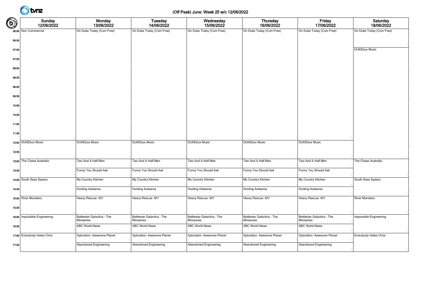### (Off Peak) June: Week 25 w/c 12/06/2022

| $\bigcirc$ | Sunday<br>12/06/2022         | Monday<br>13/06/2022                     | Tuesday<br>14/06/2022                    | Wednesday<br>15/06/2022                  | Thursday<br>16/06/2022                   | Friday<br>17/06/2022                     | Saturday<br>18/06/2022   |
|------------|------------------------------|------------------------------------------|------------------------------------------|------------------------------------------|------------------------------------------|------------------------------------------|--------------------------|
|            | 06:00 Non Commercial         | On Duke Today (Com Free)                 | On Duke Today (Com Free)                 | On Duke Today (Com Free)                 | On Duke Today (Com Free)                 | On Duke Today (Com Free)                 | On Duke Today (Com Free) |
| 06:30      |                              |                                          |                                          |                                          |                                          |                                          |                          |
| 07:00      |                              |                                          |                                          |                                          |                                          |                                          | <b>DUKEbox Music</b>     |
| 07:30      |                              |                                          |                                          |                                          |                                          |                                          |                          |
| 08:00      |                              |                                          |                                          |                                          |                                          |                                          |                          |
| 08:30      |                              |                                          |                                          |                                          |                                          |                                          |                          |
| 09:00      |                              |                                          |                                          |                                          |                                          |                                          |                          |
| 09:30      |                              |                                          |                                          |                                          |                                          |                                          |                          |
| 10:00      |                              |                                          |                                          |                                          |                                          |                                          |                          |
| 10:30      |                              |                                          |                                          |                                          |                                          |                                          |                          |
| 11:00      |                              |                                          |                                          |                                          |                                          |                                          |                          |
| 11:30      |                              |                                          |                                          |                                          |                                          |                                          |                          |
|            | 12:00 DUKEbox Music          | <b>DUKEbox Music</b>                     | <b>DUKEbox Music</b>                     | <b>DUKEbox Music</b>                     | <b>DUKEbox Music</b>                     | <b>DUKEbox Music</b>                     |                          |
| 12:30      |                              |                                          |                                          |                                          |                                          |                                          |                          |
|            | 13:00 The Chase Australia    | Two And A Half Men                       | Two And A Half Men                       | Two And A Half Men                       | Two And A Half Men                       | Two And A Half Men                       | The Chase Australia      |
| 13:30      |                              | Funny You Should Ask                     | Funny You Should Ask                     | Funny You Should Ask                     | Funny You Should Ask                     | Funny You Should Ask                     |                          |
|            | 14:00 South Seas Spearo      | My Country Kitchen                       | My Country Kitchen                       | My Country Kitchen                       | My Country Kitchen                       | My Country Kitchen                       | South Seas Spearo        |
| 14:30      |                              | Hunting Aotearoa                         | Hunting Aotearoa                         | Hunting Aotearoa                         | Hunting Aotearoa                         | <b>Hunting Aotearoa</b>                  |                          |
|            | 15:00 River Monsters         | Heavy Rescue: 401                        | Heavy Rescue: 401                        | Heavy Rescue: 401                        | Heavy Rescue: 401                        | Heavy Rescue: 401                        | <b>River Monsters</b>    |
| 15:30      |                              |                                          |                                          |                                          |                                          |                                          |                          |
|            | 16:00 Impossible Engineering | Battlestar Galactica - The<br>Miniseries | Battlestar Galactica - The<br>Miniseries | Battlestar Galactica - The<br>Miniseries | Battlestar Galactica - The<br>Miniseries | Battlestar Galactica - The<br>Miniseries | Impossible Engineering   |
| 16:30      |                              | <b>ABC World News</b>                    | <b>ABC World News</b>                    | <b>ABC World News</b>                    | <b>ABC World News</b>                    | <b>ABC World News</b>                    |                          |
|            | 17:00 Everybody Hates Chris  | Xploration: Awesome Planet               | Xploration: Awesome Planet               | Xploration: Awesome Planet               | Xploration: Awesome Planet               | Xploration: Awesome Planet               | Everybody Hates Chris    |
| 17:30      |                              | <b>Abandoned Engineering</b>             | <b>Abandoned Engineering</b>             | <b>Abandoned Engineering</b>             | <b>Abandoned Engineering</b>             | Abandoned Engineering                    |                          |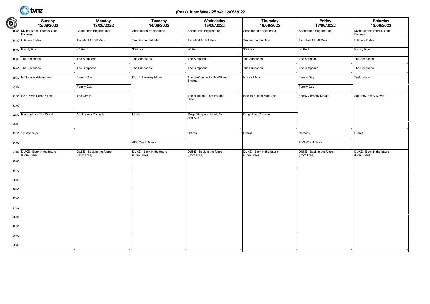#### (Peak) June: Week 25 w/c 12/06/2022

| $\bigcirc$ | Sunday<br>12/06/2022                          | <b>Monday</b><br>13/06/2022             | <b>Tuesday</b><br>14/06/2022            | Wednesday<br>15/06/2022                 | Thursday<br>16/06/2022                  | Friday<br>17/06/2022                    | Saturday<br>18/06/2022                  |
|------------|-----------------------------------------------|-----------------------------------------|-----------------------------------------|-----------------------------------------|-----------------------------------------|-----------------------------------------|-----------------------------------------|
|            | 18:00 Mythbusters: There's Your<br>Problem    | Abandoned Engineering                   | Abandoned Engineering                   | Abandoned Engineering                   | <b>Abandoned Engineering</b>            | Abandoned Engineering                   | Mythbusters: There's Your<br>Problem    |
|            | 18:30 Ultimate Rides                          | Two And A Half Men                      | Two And A Half Men                      | Two And A Half Men                      | Two And A Half Men                      | Two And A Half Men                      | <b>Ultimate Rides</b>                   |
|            | 19:00 Family Guy                              | 30 Rock                                 | 30 Rock                                 | 30 Rock                                 | 30 Rock                                 | 30 Rock                                 | Family Guy                              |
|            | 19:30 The Simpsons                            | The Simpsons                            | The Simpsons                            | The Simpsons                            | The Simpsons                            | The Simpsons                            | The Simpsons                            |
|            | 20:00 The Simpsons                            | The Simpsons                            | The Simpsons                            | The Simpsons                            | The Simpsons                            | The Simpsons                            | The Simpsons                            |
|            | 20:30 NZ Hunter Adventures                    | Family Guy                              | <b>DUKE Tuesday Movie</b>               | The UnXplained with William<br>Shatner  | Icons of Auto                           | Family Guy                              | Taskmaster                              |
| 21:00      |                                               | Family Guy                              |                                         |                                         |                                         | Family Guy                              |                                         |
|            | 21:30 SAS: Who Dares Wins                     | The Orville                             |                                         | The Buildings That Fought<br>Hitler     | How to Build a Motorcar                 | Friday Comedy Movie                     | Saturday Scary Movie                    |
| 22:00      |                                               |                                         |                                         |                                         |                                         |                                         |                                         |
|            | 22:30 Race across The World                   | Adult Swim Comedy                       | Movie                                   | Mega Shippers: Land, Air<br>and Sea     | Drug Wars Cocaine                       |                                         |                                         |
| 23:00      |                                               |                                         |                                         |                                         |                                         |                                         |                                         |
|            | 23:30 12 Monkeys                              |                                         |                                         | Drama                                   | Drama                                   | Comedy                                  | Drama                                   |
| 24:00      |                                               |                                         | <b>ABC World News</b>                   |                                         |                                         | <b>ABC World News</b>                   |                                         |
|            | 24:30 DUKE - Back in the future<br>(Com Free) | DUKE - Back in the future<br>(Com Free) | DUKE - Back in the future<br>(Com Free) | DUKE - Back in the future<br>(Com Free) | DUKE - Back in the future<br>(Com Free) | DUKE - Back in the future<br>(Com Free) | DUKE - Back in the future<br>(Com Free) |
| 25:00      |                                               |                                         |                                         |                                         |                                         |                                         |                                         |
| 25:30      |                                               |                                         |                                         |                                         |                                         |                                         |                                         |
| 26:00      |                                               |                                         |                                         |                                         |                                         |                                         |                                         |
| 26:30      |                                               |                                         |                                         |                                         |                                         |                                         |                                         |
| 27:00      |                                               |                                         |                                         |                                         |                                         |                                         |                                         |
| 27:30      |                                               |                                         |                                         |                                         |                                         |                                         |                                         |
| 28:00      |                                               |                                         |                                         |                                         |                                         |                                         |                                         |
| 28:30      |                                               |                                         |                                         |                                         |                                         |                                         |                                         |
| 29:00      |                                               |                                         |                                         |                                         |                                         |                                         |                                         |
| 29:30      |                                               |                                         |                                         |                                         |                                         |                                         |                                         |
|            |                                               |                                         |                                         |                                         |                                         |                                         |                                         |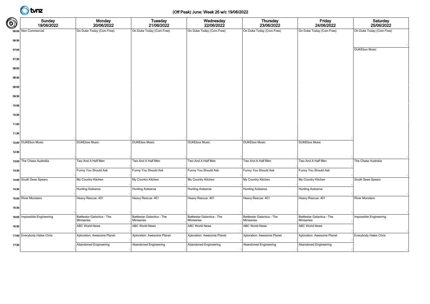### (Off Peak) June: Week 26 w/c 19/06/2022

| $\bigcirc$ | Sunday<br>19/06/2022         | Monday<br>20/06/2022                     | <b>Tuesday</b><br>21/06/2022             | Wednesday<br>22/06/2022                  | <b>Thursday</b><br>23/06/2022            | Friday<br>24/06/2022                     | Saturday<br>25/06/2022   |
|------------|------------------------------|------------------------------------------|------------------------------------------|------------------------------------------|------------------------------------------|------------------------------------------|--------------------------|
|            | 06:00 Non Commercial         | On Duke Today (Com Free)                 | On Duke Today (Com Free)                 | On Duke Today (Com Free)                 | On Duke Today (Com Free)                 | On Duke Today (Com Free)                 | On Duke Today (Com Free) |
| 06:30      |                              |                                          |                                          |                                          |                                          |                                          |                          |
| 07:00      |                              |                                          |                                          |                                          |                                          |                                          | <b>DUKEbox Music</b>     |
| 07:30      |                              |                                          |                                          |                                          |                                          |                                          |                          |
| 08:00      |                              |                                          |                                          |                                          |                                          |                                          |                          |
| 08:30      |                              |                                          |                                          |                                          |                                          |                                          |                          |
| 09:00      |                              |                                          |                                          |                                          |                                          |                                          |                          |
| 09:30      |                              |                                          |                                          |                                          |                                          |                                          |                          |
| 10:00      |                              |                                          |                                          |                                          |                                          |                                          |                          |
| 10:30      |                              |                                          |                                          |                                          |                                          |                                          |                          |
|            |                              |                                          |                                          |                                          |                                          |                                          |                          |
| 11:00      |                              |                                          |                                          |                                          |                                          |                                          |                          |
| 11:30      |                              |                                          |                                          |                                          |                                          |                                          |                          |
|            | 12:00 DUKEbox Music          | <b>DUKEbox Music</b>                     | <b>DUKEbox Music</b>                     | <b>DUKEbox Music</b>                     | <b>DUKEbox Music</b>                     | <b>DUKEbox Music</b>                     |                          |
| 12:30      |                              |                                          |                                          |                                          |                                          |                                          |                          |
|            | 13:00 The Chase Australia    | Two And A Half Men                       | Two And A Half Men                       | Two And A Half Men                       | Two And A Half Men                       | Two And A Half Men                       | The Chase Australia      |
| 13:30      |                              | Funny You Should Ask                     | Funny You Should Ask                     | Funny You Should Ask                     | Funny You Should Ask                     | Funny You Should Ask                     |                          |
|            | 14:00 South Seas Spearo      | My Country Kitchen                       | My Country Kitchen                       | My Country Kitchen                       | My Country Kitchen                       | My Country Kitchen                       | South Seas Spearo        |
| 14:30      |                              | Hunting Aotearoa                         | Hunting Aotearoa                         | Hunting Aotearoa                         | Hunting Aotearoa                         | Hunting Aotearoa                         |                          |
|            | 15:00 River Monsters         | Heavy Rescue: 401                        | Heavy Rescue: 401                        | Heavy Rescue: 401                        | Heavy Rescue: 401                        | Heavy Rescue: 401                        | <b>River Monsters</b>    |
| 15:30      |                              |                                          |                                          |                                          |                                          |                                          |                          |
|            | 16:00 Impossible Engineering | Battlestar Galactica - The<br>Miniseries | Battlestar Galactica - The<br>Miniseries | Battlestar Galactica - The<br>Miniseries | Battlestar Galactica - The<br>Miniseries | Battlestar Galactica - The<br>Miniseries | Impossible Engineering   |
| 16:30      |                              | <b>ABC World News</b>                    | <b>ABC World News</b>                    | <b>ABC World News</b>                    | <b>ABC World News</b>                    | <b>ABC World News</b>                    |                          |
|            | 17:00 Everybody Hates Chris  | Xploration: Awesome Planet               | Xploration: Awesome Planet               | Xploration: Awesome Planet               | Xploration: Awesome Planet               | Xploration: Awesome Planet               | Everybody Hates Chris    |
| 17:30      |                              | Abandoned Engineering                    | <b>Abandoned Engineering</b>             | Abandoned Engineering                    | Abandoned Engineering                    | Abandoned Engineering                    |                          |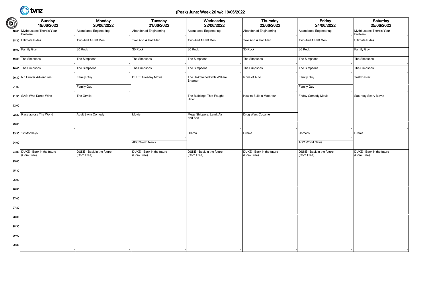### (Peak) June: Week 26 w/c 19/06/2022

| $\bigcirc$ | Sunday<br>19/06/2022                          | <b>Monday</b><br>20/06/2022             | <b>Tuesday</b><br>21/06/2022            | Wednesday<br>22/06/2022                 | Thursday<br>23/06/2022                  | Friday<br>24/06/2022                    | Saturday<br>25/06/2022                  |
|------------|-----------------------------------------------|-----------------------------------------|-----------------------------------------|-----------------------------------------|-----------------------------------------|-----------------------------------------|-----------------------------------------|
|            | 18:00 Mythbusters: There's Your<br>Problem    | Abandoned Engineering                   | Abandoned Engineering                   | Abandoned Engineering                   | <b>Abandoned Engineering</b>            | Abandoned Engineering                   | Mythbusters: There's Your<br>Problem    |
|            | 18:30 Ultimate Rides                          | Two And A Half Men                      | Two And A Half Men                      | Two And A Half Men                      | Two And A Half Men                      | Two And A Half Men                      | <b>Ultimate Rides</b>                   |
|            | 19:00 Family Guy                              | 30 Rock                                 | 30 Rock                                 | 30 Rock                                 | 30 Rock                                 | 30 Rock                                 | Family Guy                              |
|            | 19:30 The Simpsons                            | The Simpsons                            | The Simpsons                            | The Simpsons                            | The Simpsons                            | The Simpsons                            | The Simpsons                            |
|            | 20:00 The Simpsons                            | The Simpsons                            | The Simpsons                            | The Simpsons                            | The Simpsons                            | The Simpsons                            | The Simpsons                            |
|            | 20:30 NZ Hunter Adventures                    | Family Guy                              | <b>DUKE Tuesday Movie</b>               | The UnXplained with William<br>Shatner  | Icons of Auto                           | Family Guy                              | Taskmaster                              |
| 21:00      |                                               | Family Guy                              |                                         |                                         |                                         | Family Guy                              |                                         |
|            | 21:30 SAS: Who Dares Wins                     | The Orville                             |                                         | The Buildings That Fought<br>Hitler     | How to Build a Motorcar                 | Friday Comedy Movie                     | Saturday Scary Movie                    |
| 22:00      |                                               |                                         |                                         |                                         |                                         |                                         |                                         |
|            | 22:30 Race across The World                   | Adult Swim Comedy                       | Movie                                   | Mega Shippers: Land, Air<br>and Sea     | Drug Wars Cocaine                       |                                         |                                         |
| 23:00      |                                               |                                         |                                         |                                         |                                         |                                         |                                         |
|            | 23:30 12 Monkeys                              |                                         |                                         | Drama                                   | Drama                                   | Comedy                                  | Drama                                   |
| 24:00      |                                               |                                         | <b>ABC World News</b>                   |                                         |                                         | <b>ABC World News</b>                   |                                         |
|            | 24:30 DUKE - Back in the future<br>(Com Free) | DUKE - Back in the future<br>(Com Free) | DUKE - Back in the future<br>(Com Free) | DUKE - Back in the future<br>(Com Free) | DUKE - Back in the future<br>(Com Free) | DUKE - Back in the future<br>(Com Free) | DUKE - Back in the future<br>(Com Free) |
| 25:00      |                                               |                                         |                                         |                                         |                                         |                                         |                                         |
| 25:30      |                                               |                                         |                                         |                                         |                                         |                                         |                                         |
| 26:00      |                                               |                                         |                                         |                                         |                                         |                                         |                                         |
| 26:30      |                                               |                                         |                                         |                                         |                                         |                                         |                                         |
| 27:00      |                                               |                                         |                                         |                                         |                                         |                                         |                                         |
| 27:30      |                                               |                                         |                                         |                                         |                                         |                                         |                                         |
| 28:00      |                                               |                                         |                                         |                                         |                                         |                                         |                                         |
| 28:30      |                                               |                                         |                                         |                                         |                                         |                                         |                                         |
| 29:00      |                                               |                                         |                                         |                                         |                                         |                                         |                                         |
| 29:30      |                                               |                                         |                                         |                                         |                                         |                                         |                                         |
|            |                                               |                                         |                                         |                                         |                                         |                                         |                                         |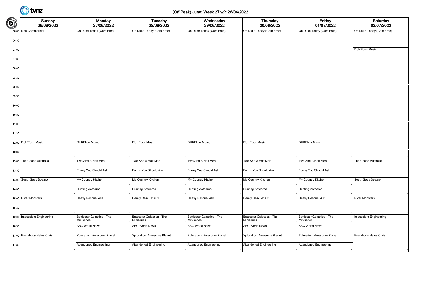### (Off Peak) June: Week 27 w/c 26/06/2022

| $\bigcirc$ | Sunday<br>26/06/2022           | Monday<br>27/06/2022                     | <b>Tuesday</b><br>28/06/2022             | Wednesday<br>29/06/2022                  | <b>Thursday</b><br>30/06/2022            | Friday<br>01/07/2022                     | Saturday<br>02/07/2022   |
|------------|--------------------------------|------------------------------------------|------------------------------------------|------------------------------------------|------------------------------------------|------------------------------------------|--------------------------|
|            | 06:00 Non Commercial           | On Duke Today (Com Free)                 | On Duke Today (Com Free)                 | On Duke Today (Com Free)                 | On Duke Today (Com Free)                 | On Duke Today (Com Free)                 | On Duke Today (Com Free) |
| 06:30      |                                |                                          |                                          |                                          |                                          |                                          |                          |
| 07:00      |                                |                                          |                                          |                                          |                                          |                                          | <b>DUKEbox Music</b>     |
| 07:30      |                                |                                          |                                          |                                          |                                          |                                          |                          |
| 08:00      |                                |                                          |                                          |                                          |                                          |                                          |                          |
| 08:30      |                                |                                          |                                          |                                          |                                          |                                          |                          |
| 09:00      |                                |                                          |                                          |                                          |                                          |                                          |                          |
| 09:30      |                                |                                          |                                          |                                          |                                          |                                          |                          |
| 10:00      |                                |                                          |                                          |                                          |                                          |                                          |                          |
| 10:30      |                                |                                          |                                          |                                          |                                          |                                          |                          |
|            |                                |                                          |                                          |                                          |                                          |                                          |                          |
| 11:00      |                                |                                          |                                          |                                          |                                          |                                          |                          |
| 11:30      |                                |                                          |                                          |                                          |                                          |                                          |                          |
|            | 12:00 DUKEbox Music            | <b>DUKEbox Music</b>                     | <b>DUKEbox Music</b>                     | <b>DUKEbox Music</b>                     | <b>DUKEbox Music</b>                     | <b>DUKEbox Music</b>                     |                          |
| 12:30      |                                |                                          |                                          |                                          |                                          |                                          |                          |
|            | 13:00 The Chase Australia      | Two And A Half Men                       | Two And A Half Men                       | Two And A Half Men                       | Two And A Half Men                       | Two And A Half Men                       | The Chase Australia      |
| 13:30      |                                | Funny You Should Ask                     | Funny You Should Ask                     | Funny You Should Ask                     | Funny You Should Ask                     | Funny You Should Ask                     |                          |
|            | 14:00 South Seas Spearo        | My Country Kitchen                       | My Country Kitchen                       | My Country Kitchen                       | My Country Kitchen                       | My Country Kitchen                       | South Seas Spearo        |
| 14:30      |                                | Hunting Aotearoa                         | Hunting Aotearoa                         | Hunting Aotearoa                         | Hunting Aotearoa                         | Hunting Aotearoa                         |                          |
|            | 15:00 River Monsters           | Heavy Rescue: 401                        | Heavy Rescue: 401                        | Heavy Rescue: 401                        | Heavy Rescue: 401                        | Heavy Rescue: 401                        | <b>River Monsters</b>    |
| 15:30      |                                |                                          |                                          |                                          |                                          |                                          |                          |
|            | 16:00   Impossible Engineering | Battlestar Galactica - The<br>Miniseries | Battlestar Galactica - The<br>Miniseries | Battlestar Galactica - The<br>Miniseries | Battlestar Galactica - The<br>Miniseries | Battlestar Galactica - The<br>Miniseries | Impossible Engineering   |
| 16:30      |                                | <b>ABC World News</b>                    | ABC World News                           | ABC World News                           | <b>ABC World News</b>                    | ABC World News                           |                          |
|            | 17:00 Everybody Hates Chris    | Xploration: Awesome Planet               | Xploration: Awesome Planet               | Xploration: Awesome Planet               | Xploration: Awesome Planet               | Xploration: Awesome Planet               | Everybody Hates Chris    |
| 17:30      |                                | Abandoned Engineering                    | Abandoned Engineering                    | Abandoned Engineering                    | <b>Abandoned Engineering</b>             | Abandoned Engineering                    |                          |